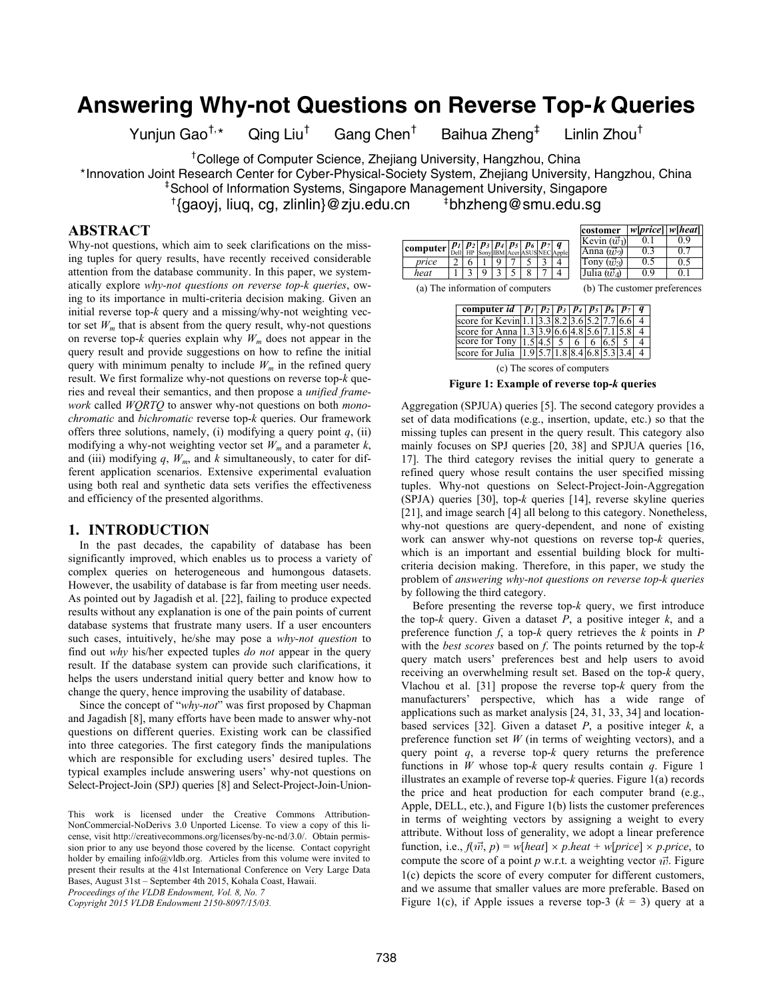# **Answering Why-not Questions on Reverse Top-***k* **Queries**

Yunjun Gao<sup>†,\*</sup> Qing Liu<sup>†</sup>

Gang Chen†

 Baihua Zheng‡ Linlin Zhou†

† College of Computer Science, Zhejiang University, Hangzhou, China

\*Innovation Joint Research Center for Cyber-Physical-Society System, Zhejiang University, Hangzhou, China ‡

<sup>‡</sup> School of Information Systems, Singapore Management University, Singapore

† {gaoyj, liuq, cg, zlinlin}@zju.edu.cn ‡

# **ABSTRACT**

Why-not questions, which aim to seek clarifications on the missing tuples for query results, have recently received considerable attention from the database community. In this paper, we systematically explore *why-not questions on reverse top-k queries*, owing to its importance in multi-criteria decision making. Given an initial reverse top-*k* query and a missing/why-not weighting vector set  $W_m$  that is absent from the query result, why-not questions on reverse top- $k$  queries explain why  $W_m$  does not appear in the query result and provide suggestions on how to refine the initial query with minimum penalty to include  $W_m$  in the refined query result. We first formalize why-not questions on reverse top-*k* queries and reveal their semantics, and then propose a *unified framework* called *WQRTQ* to answer why-not questions on both *monochromatic* and *bichromatic* reverse top-*k* queries. Our framework offers three solutions, namely, (i) modifying a query point  $q$ , (ii) modifying a why-not weighting vector set  $W_m$  and a parameter  $k$ , and (iii) modifying  $q$ ,  $W_m$ , and  $k$  simultaneously, to cater for different application scenarios. Extensive experimental evaluation using both real and synthetic data sets verifies the effectiveness and efficiency of the presented algorithms.

## **1. INTRODUCTION**

In the past decades, the capability of database has been significantly improved, which enables us to process a variety of complex queries on heterogeneous and humongous datasets. However, the usability of database is far from meeting user needs. As pointed out by Jagadish et al. [22], failing to produce expected results without any explanation is one of the pain points of current database systems that frustrate many users. If a user encounters such cases, intuitively, he/she may pose a *why-not question* to find out *why* his/her expected tuples *do not* appear in the query result. If the database system can provide such clarifications, it helps the users understand initial query better and know how to change the query, hence improving the usability of database.

Since the concept of "*why-not*" was first proposed by Chapman and Jagadish [8], many efforts have been made to answer why-not questions on different queries. Existing work can be classified into three categories. The first category finds the manipulations which are responsible for excluding users' desired tuples. The typical examples include answering users' why-not questions on Select-Project-Join (SPJ) queries [8] and Select-Project-Join-Union-

*Copyright 2015 VLDB Endowment 2150-8097/15/03.*

|          |       |  |  |                             |                              | costomer            | w[price]   w[heat] |     |
|----------|-------|--|--|-----------------------------|------------------------------|---------------------|--------------------|-----|
|          |       |  |  | $ p_2 p_3 p_4 p_5 p_6 p_7 $ |                              | Kevin $(\vec{w_1})$ |                    | 0 ዓ |
| computer | Delll |  |  |                             | Sony IBM Acer ASUS NEC Apple | Anna $(\vec{w_2})$  | 0.3                | 0.7 |
| price    |       |  |  |                             |                              | Tony $(\vec{w}_3)$  | 0.5                | 0.5 |
| heat     |       |  |  |                             |                              | Julia $(\vec{w}_4)$ | 09                 | 0   |

bhzheng@smu.edu.sg

 $1 \mid 3 \mid 9 \mid 3 \mid 5 \mid 8 \mid 7 \mid 4$  Julia ( $\vec{w}_4$ ) (a) The information of computers (b) The customer preferences

| computer id   $p_1$   $p_2$   $p_3$   $p_4$   $p_5$   $p_6$   $p_7$   $q$                                |  |  |  |  |
|----------------------------------------------------------------------------------------------------------|--|--|--|--|
| score for Kevin $1.1 \mid 3.\overline{3}\mid 8.2 \mid 3.6 \mid 5.2 \mid 7.7 \mid 6.6$                    |  |  |  |  |
| score for Anna $\left  1.3 \right  3.9 \left  6.6 \right  4.8 \left  5.6 \right  7.1 \left  5.8 \right $ |  |  |  |  |
| score for Tony $ 1.5 4.5 $ 5   6   6   6.5   5                                                           |  |  |  |  |
| score for Julia $ 1.9 5.7 1.8 8.4 6.8 5.3 3.4 4 $                                                        |  |  |  |  |
|                                                                                                          |  |  |  |  |

(c) The scores of computers

**Figure 1: Example of reverse top-***k* **queries** 

Aggregation (SPJUA) queries [5]. The second category provides a set of data modifications (e.g., insertion, update, etc.) so that the missing tuples can present in the query result. This category also mainly focuses on SPJ queries [20, 38] and SPJUA queries [16, 17]. The third category revises the initial query to generate a refined query whose result contains the user specified missing tuples. Why-not questions on Select-Project-Join-Aggregation (SPJA) queries [30], top-*k* queries [14], reverse skyline queries [21], and image search [4] all belong to this category. Nonetheless, why-not questions are query-dependent, and none of existing work can answer why-not questions on reverse top-*k* queries, which is an important and essential building block for multicriteria decision making. Therefore, in this paper, we study the problem of *answering why-not questions on reverse top-k queries* by following the third category.

Before presenting the reverse top-*k* query, we first introduce the top-*k* query. Given a dataset *P*, a positive integer *k*, and a preference function *f*, a top-*k* query retrieves the *k* points in *P* with the *best scores* based on *f*. The points returned by the top-*k* query match users' preferences best and help users to avoid receiving an overwhelming result set. Based on the top-*k* query, Vlachou et al. [31] propose the reverse top-*k* query from the manufacturers' perspective, which has a wide range of applications such as market analysis [24, 31, 33, 34] and locationbased services [32]. Given a dataset *P*, a positive integer *k*, a preference function set *W* (in terms of weighting vectors), and a query point *q*, a reverse top-*k* query returns the preference functions in *W* whose top-*k* query results contain *q*. Figure 1 illustrates an example of reverse top-*k* queries. Figure 1(a) records the price and heat production for each computer brand (e.g., Apple, DELL, etc.), and Figure 1(b) lists the customer preferences in terms of weighting vectors by assigning a weight to every attribute. Without loss of generality, we adopt a linear preference function, i.e.,  $f(\vec{w}, p) = w[heat] \times p \cdot heat + w[price] \times p \cdot price$ , to compute the score of a point  $p$  w.r.t. a weighting vector  $\vec{w}$ . Figure 1(c) depicts the score of every computer for different customers, and we assume that smaller values are more preferable. Based on Figure 1(c), if Apple issues a reverse top-3  $(k = 3)$  query at a

This work is licensed under the Creative Commons Attribution-NonCommercial-NoDerivs 3.0 Unported License. To view a copy of this license, visit http://creativecommons.org/licenses/by-nc-nd/3.0/. Obtain permission prior to any use beyond those covered by the license. Contact copyright holder by emailing info@vldb.org. Articles from this volume were invited to present their results at the 41st International Conference on Very Large Data Bases, August 31st – September 4th 2015, Kohala Coast, Hawaii. *Proceedings of the VLDB Endowment, Vol. 8, No. 7*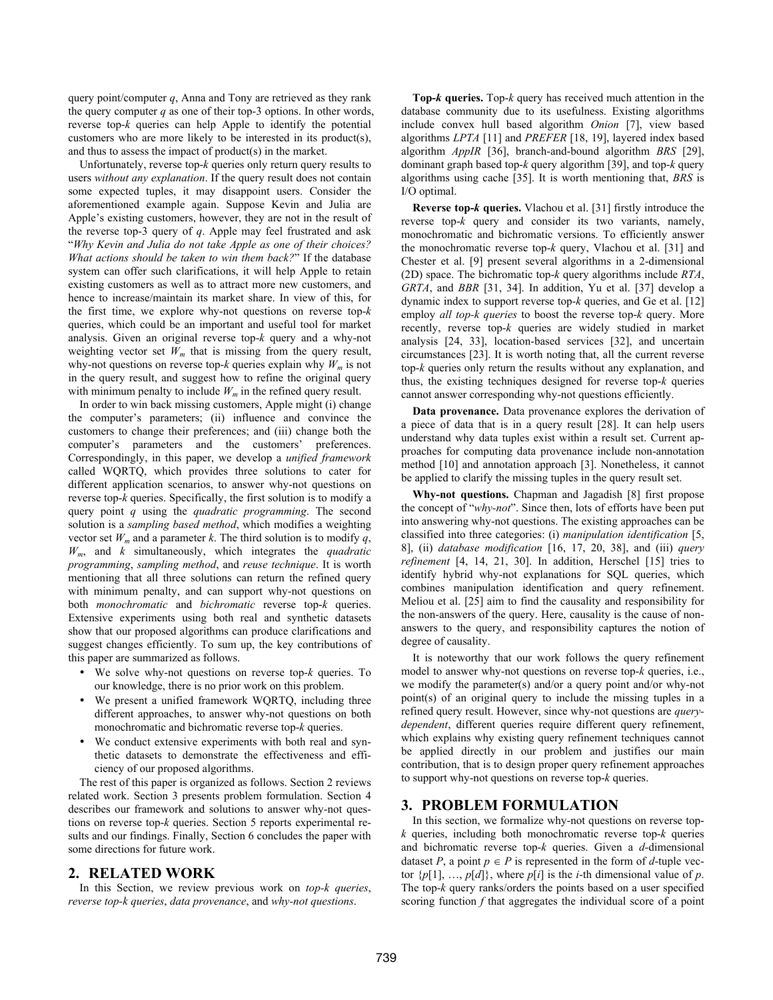query point/computer *q*, Anna and Tony are retrieved as they rank the query computer  $q$  as one of their top-3 options. In other words, reverse top-*k* queries can help Apple to identify the potential customers who are more likely to be interested in its product(s), and thus to assess the impact of product(s) in the market.

Unfortunately, reverse top-*k* queries only return query results to users *without any explanation*. If the query result does not contain some expected tuples, it may disappoint users. Consider the aforementioned example again. Suppose Kevin and Julia are Apple's existing customers, however, they are not in the result of the reverse top-3 query of *q*. Apple may feel frustrated and ask "*Why Kevin and Julia do not take Apple as one of their choices? What actions should be taken to win them back?*" If the database system can offer such clarifications, it will help Apple to retain existing customers as well as to attract more new customers, and hence to increase/maintain its market share. In view of this, for the first time, we explore why-not questions on reverse top-*k* queries, which could be an important and useful tool for market analysis. Given an original reverse top-*k* query and a why-not weighting vector set  $W_m$  that is missing from the query result, why-not questions on reverse top- $k$  queries explain why  $W_m$  is not in the query result, and suggest how to refine the original query with minimum penalty to include  $W_m$  in the refined query result.

In order to win back missing customers, Apple might (i) change the computer's parameters; (ii) influence and convince the customers to change their preferences; and (iii) change both the computer's parameters and the customers' preferences. Correspondingly, in this paper, we develop a *unified framework* called WQRTQ, which provides three solutions to cater for different application scenarios, to answer why-not questions on reverse top-*k* queries. Specifically, the first solution is to modify a query point *q* using the *quadratic programming*. The second solution is a *sampling based method*, which modifies a weighting vector set  $W_m$  and a parameter *k*. The third solution is to modify q, *Wm*, and *k* simultaneously, which integrates the *quadratic programming*, *sampling method*, and *reuse technique*. It is worth mentioning that all three solutions can return the refined query with minimum penalty, and can support why-not questions on both *monochromatic* and *bichromatic* reverse top-*k* queries. Extensive experiments using both real and synthetic datasets show that our proposed algorithms can produce clarifications and suggest changes efficiently. To sum up, the key contributions of this paper are summarized as follows.

- We solve why-not questions on reverse top-*k* queries. To our knowledge, there is no prior work on this problem.
- We present a unified framework WQRTQ, including three different approaches, to answer why-not questions on both monochromatic and bichromatic reverse top-*k* queries.
- We conduct extensive experiments with both real and synthetic datasets to demonstrate the effectiveness and efficiency of our proposed algorithms.

The rest of this paper is organized as follows. Section 2 reviews related work. Section 3 presents problem formulation. Section 4 describes our framework and solutions to answer why-not questions on reverse top-*k* queries. Section 5 reports experimental results and our findings. Finally, Section 6 concludes the paper with some directions for future work.

# **2. RELATED WORK**

In this Section, we review previous work on *top-k queries*, *reverse top-k queries*, *data provenance*, and *why-not questions*.

**Top-***k* **queries.** Top-*k* query has received much attention in the database community due to its usefulness. Existing algorithms include convex hull based algorithm *Onion* [7], view based algorithms *LPTA* [11] and *PREFER* [18, 19], layered index based algorithm *AppIR* [36], branch-and-bound algorithm *BRS* [29], dominant graph based top-*k* query algorithm [39], and top-*k* query algorithms using cache [35]. It is worth mentioning that, *BRS* is I/O optimal.

**Reverse top-***k* **queries.** Vlachou et al. [31] firstly introduce the reverse top-*k* query and consider its two variants, namely, monochromatic and bichromatic versions. To efficiently answer the monochromatic reverse top-*k* query, Vlachou et al. [31] and Chester et al. [9] present several algorithms in a 2-dimensional (2D) space. The bichromatic top-*k* query algorithms include *RTA*, *GRTA*, and *BBR* [31, 34]. In addition, Yu et al. [37] develop a dynamic index to support reverse top-*k* queries, and Ge et al. [12] employ *all top-k queries* to boost the reverse top-*k* query. More recently, reverse top-*k* queries are widely studied in market analysis [24, 33], location-based services [32], and uncertain circumstances [23]. It is worth noting that, all the current reverse top-*k* queries only return the results without any explanation, and thus, the existing techniques designed for reverse top-*k* queries cannot answer corresponding why-not questions efficiently.

**Data provenance.** Data provenance explores the derivation of a piece of data that is in a query result [28]. It can help users understand why data tuples exist within a result set. Current approaches for computing data provenance include non-annotation method [10] and annotation approach [3]. Nonetheless, it cannot be applied to clarify the missing tuples in the query result set.

**Why-not questions.** Chapman and Jagadish [8] first propose the concept of "*why-not*". Since then, lots of efforts have been put into answering why-not questions. The existing approaches can be classified into three categories: (i) *manipulation identification* [5, 8], (ii) *database modification* [16, 17, 20, 38], and (iii) *query refinement* [4, 14, 21, 30]. In addition, Herschel [15] tries to identify hybrid why-not explanations for SQL queries, which combines manipulation identification and query refinement. Meliou et al. [25] aim to find the causality and responsibility for the non-answers of the query. Here, causality is the cause of nonanswers to the query, and responsibility captures the notion of degree of causality.

It is noteworthy that our work follows the query refinement model to answer why-not questions on reverse top-*k* queries, i.e., we modify the parameter(s) and/or a query point and/or why-not point(s) of an original query to include the missing tuples in a refined query result. However, since why-not questions are *querydependent*, different queries require different query refinement, which explains why existing query refinement techniques cannot be applied directly in our problem and justifies our main contribution, that is to design proper query refinement approaches to support why-not questions on reverse top-*k* queries.

# **3. PROBLEM FORMULATION**

In this section, we formalize why-not questions on reverse top*k* queries, including both monochromatic reverse top-*k* queries and bichromatic reverse top-*k* queries. Given a *d*-dimensional dataset *P*, a point  $p \in P$  is represented in the form of *d*-tuple vector  $\{p[1], \ldots, p[d]\}$ , where  $p[i]$  is the *i*-th dimensional value of  $p$ . The top-*k* query ranks/orders the points based on a user specified scoring function  $f$  that aggregates the individual score of a point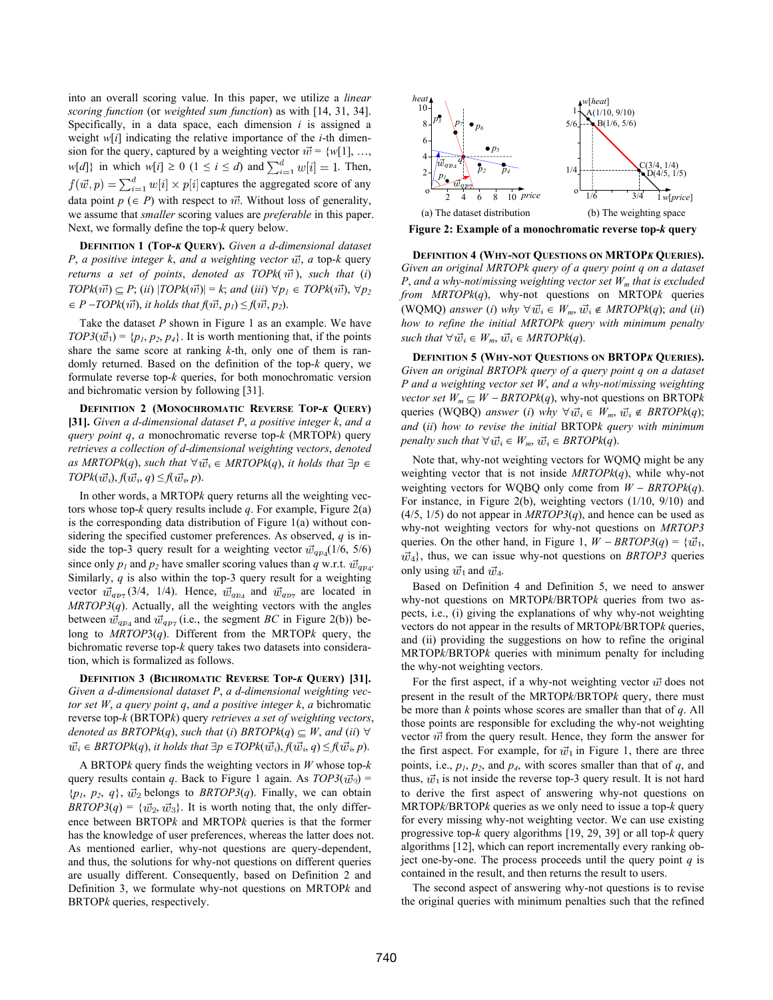into an overall scoring value. In this paper, we utilize a *linear scoring function* (or *weighted sum function*) as with [14, 31, 34]. Specifically, in a data space, each dimension *i* is assigned a weight *w*[*i*] indicating the relative importance of the *i*-th dimension for the query, captured by a weighting vector  $\vec{w} = \{w[1], \dots, w[k]\}$  $w[d]$ } in which  $w[i] \ge 0$  ( $1 \le i \le d$ ) and  $\sum_{i=1}^{d} w[i] = 1$ . Then, captures the aggregated score of any data point  $p \in P$ ) with respect to  $\vec{w}$ . Without loss of generality, we assume that *smaller* scoring values are *preferable* in this paper. Next, we formally define the top-*k* query below.

**DEFINITION 1 (TOP-***K* **QUERY).** *Given a d-dimensional dataset P*, *a positive integer k, and a weighting vector*  $\vec{w}$ , *a* top-*k* query *returns a set of points, denoted as TOPk* $(\vec{w})$ *, such that (i)*  $TOPk(\vec{w}) \subseteq P$ ; (*ii*)  $|TOPk(\vec{w})| = k$ ; and (*iii*)  $\forall p_1 \in TOPk(\vec{w})$ ,  $\forall p_2$  $P - TOPk(\vec{w})$ , *it holds that*  $f(\vec{w}, p_1) \leq f(\vec{w}, p_2)$ .

Take the dataset *P* shown in Figure 1 as an example. We have  $TOP3(\vec{w}_1) = \{p_1, p_2, p_4\}$ . It is worth mentioning that, if the points share the same score at ranking *k*-th, only one of them is randomly returned. Based on the definition of the top-*k* query, we formulate reverse top-*k* queries, for both monochromatic version and bichromatic version by following [31].

**DEFINITION 2 (MONOCHROMATIC REVERSE TOP-***K* **QUERY) [31].** *Given a d-dimensional dataset P*, *a positive integer k*, *and a query point q*, *a* monochromatic reverse top-*k* (MRTOP*k*) query *retrieves a collection of d-dimensional weighting vectors*, *denoted as MRTOPk(q), such that*  $\forall \vec{w_i} \in MRTOPK(q)$ , *it holds that*  $\exists p \in$  $TOPk(\vec{w_i}), f(\vec{w_i}, q) \leq f(\vec{w_i}, p).$ 

In other words, a MRTOP*k* query returns all the weighting vectors whose top- $k$  query results include  $q$ . For example, Figure 2(a) is the corresponding data distribution of Figure 1(a) without considering the specified customer preferences. As observed, *q* is inside the top-3 query result for a weighting vector  $\vec{w}_{qp4}(1/6, 5/6)$ since only  $p_1$  and  $p_2$  have smaller scoring values than  $q$  w.r.t.  $\vec{w}_{qp_4}$ . Similarly, *q* is also within the top-3 query result for a weighting vector  $\vec{w}_{ap7}$  (3/4, 1/4). Hence,  $\vec{w}_{ap4}$  and  $\vec{w}_{ap7}$  are located in *MRTOP3*(*q*). Actually, all the weighting vectors with the angles between  $\vec{w}_{ap_4}$  and  $\vec{w}_{ap_7}$  (i.e., the segment *BC* in Figure 2(b)) belong to *MRTOP*3(*q*). Different from the MRTOP*k* query, the bichromatic reverse top-*k* query takes two datasets into consideration, which is formalized as follows.

**DEFINITION 3 (BICHROMATIC REVERSE TOP-***K* **QUERY) [31].** *Given a d-dimensional dataset P*, *a d-dimensional weighting vector set W*, *a query point q*, *and a positive integer k*, *a* bichromatic reverse top-*k* (BRTOP*k*) query *retrieves a set of weighting vectors*, *denoted as BRTOPk(q), such that (i) BRTOPk(q)*  $\subseteq$  *W, and (ii)*  $\forall$  $\vec{w}_i \in BRTOPK(q)$ , *it holds that*  $\exists p \in TOPK(\vec{w}_i), f(\vec{w}_i, q) \leq f(\vec{w}_i, p)$ .

A BRTOP*k* query finds the weighting vectors in *W* whose top-*k* query results contain *q*. Back to Figure 1 again. As  $TOP3(\vec{w}_2)$  =  $\{p_1, p_2, q\}, \vec{w_2}$  belongs to *BRTOP3(q)*. Finally, we can obtain *BRTOP3*(*q*) =  ${\lbrace \vec{w}_2, \vec{w}_3 \rbrace}$ . It is worth noting that, the only difference between BRTOP*k* and MRTOP*k* queries is that the former has the knowledge of user preferences, whereas the latter does not. As mentioned earlier, why-not questions are query-dependent, and thus, the solutions for why-not questions on different queries are usually different. Consequently, based on Definition 2 and Definition 3, we formulate why-not questions on MRTOP*k* and BRTOP*k* queries, respectively.



**Figure 2: Example of a monochromatic reverse top-***k* **query** 

**DEFINITION 4 (WHY-NOT QUESTIONS ON MRTOP***K* **QUERIES).** *Given an original MRTOPk query of a query point q on a dataset P*, *and a why-not*/*missing weighting vector set Wm that is excluded from MRTOPk*(*q*), why-not questions on MRTOP*k* queries (WQMQ) answer (*i*) why  $\forall \vec{w_i} \in W_m$ ,  $\vec{w_i} \notin MRTOPk(q)$ ; and (*ii*) *how to refine the initial MRTOPk query with minimum penalty such that*  $\forall \vec{w}_i \in W_m$ ,  $\vec{w}_i \in MRTOPk(q)$ .

**DEFINITION 5 (WHY-NOT QUESTIONS ON BRTOP***K* **QUERIES).** *Given an original BRTOPk query of a query point q on a dataset P and a weighting vector set W*, *and a why-not*/*missing weighting vector set*  $W_m \subseteq W - BRTOPk(q)$ , why-not questions on BRTOPk queries (WQBQ) answer (*i*) why  $\forall \vec{w_i} \in W_m$ ,  $\vec{w_i} \notin BRTOPk(q)$ ; *and* (*ii*) *how to revise the initial* BRTOP*k query with minimum penalty such that*  $\forall \vec{w}_i \in W_m$ ,  $\vec{w}_i \in BRTOPK(q)$ .

Note that, why-not weighting vectors for WQMQ might be any weighting vector that is not inside *MRTOPk*(*q*), while why-not weighting vectors for WQBQ only come from  $W - BRTOPk(q)$ . For instance, in Figure 2(b), weighting vectors (1/10, 9/10) and (4/5, 1/5) do not appear in *MRTOP3*(*q*), and hence can be used as why-not weighting vectors for why-not questions on *MRTOP3* queries. On the other hand, in Figure 1,  $W - BRTOP3(q) = \{\vec{w}_1,$  $\vec{w}_4$ , thus, we can issue why-not questions on *BRTOP3* queries only using  $\vec{w}_1$  and  $\vec{w}_4$ .

Based on Definition 4 and Definition 5, we need to answer why-not questions on MRTOP*k*/BRTOP*k* queries from two aspects, i.e., (i) giving the explanations of why why-not weighting vectors do not appear in the results of MRTOP*k*/BRTOP*k* queries, and (ii) providing the suggestions on how to refine the original MRTOP*k*/BRTOP*k* queries with minimum penalty for including the why-not weighting vectors.

For the first aspect, if a why-not weighting vector  $\vec{w}$  does not present in the result of the MRTOP*k*/BRTOP*k* query, there must be more than *k* points whose scores are smaller than that of *q*. All those points are responsible for excluding the why-not weighting vector  $\vec{w}$  from the query result. Hence, they form the answer for the first aspect. For example, for  $\vec{w}_1$  in Figure 1, there are three points, i.e., *p1*, *p2*, and *p4*, with scores smaller than that of *q*, and thus,  $\vec{w_1}$  is not inside the reverse top-3 query result. It is not hard to derive the first aspect of answering why-not questions on MRTOP*k*/BRTOP*k* queries as we only need to issue a top-*k* query for every missing why-not weighting vector. We can use existing progressive top-*k* query algorithms [19, 29, 39] or all top-*k* query algorithms [12], which can report incrementally every ranking object one-by-one. The process proceeds until the query point *q* is contained in the result, and then returns the result to users.

The second aspect of answering why-not questions is to revise the original queries with minimum penalties such that the refined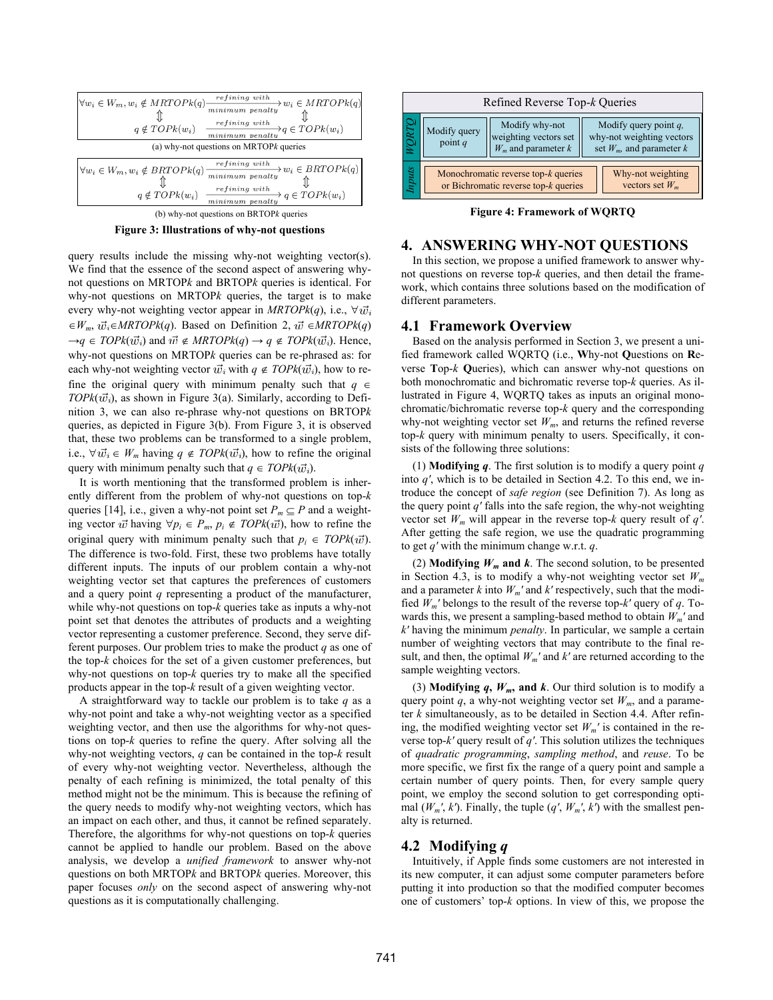

**Figure 3: Illustrations of why-not questions** 

query results include the missing why-not weighting vector(s). We find that the essence of the second aspect of answering whynot questions on MRTOP*k* and BRTOP*k* queries is identical. For why-not questions on MRTOP*k* queries, the target is to make every why-not weighting vector appear in  $MRTOPk(q)$ , i.e.,  $\forall \vec{w_i}$  $\in W_m$ ,  $\vec{w}_i \in MRTOPk(q)$ . Based on Definition 2,  $\vec{w} \in MRTOPk(q)$  $\rightarrow q \in TOPk(\vec{w_i})$  and  $\vec{w} \notin MRTOPk(q) \rightarrow q \notin TOPk(\vec{w_i})$ . Hence, why-not questions on MRTOP*k* queries can be re-phrased as: for each why-not weighting vector  $\vec{w}_i$  with  $q \notin TOPk(\vec{w}_i)$ , how to refine the original query with minimum penalty such that  $q \in$  $TOPk(\vec{w_i})$ , as shown in Figure 3(a). Similarly, according to Definition 3, we can also re-phrase why-not questions on BRTOP*k* queries, as depicted in Figure 3(b). From Figure 3, it is observed that, these two problems can be transformed to a single problem, i.e.,  $\forall \vec{w_i} \in W_m$  having  $q \notin TOPk(\vec{w_i})$ , how to refine the original query with minimum penalty such that  $q \in TOPk(\vec{w_i})$ .

It is worth mentioning that the transformed problem is inherently different from the problem of why-not questions on top-*k* queries [14], i.e., given a why-not point set  $P_m \subseteq P$  and a weighting vector  $u\vec{v}$  having  $\forall p_i \in P_m$ ,  $p_i \notin TOPk(\vec{w})$ , how to refine the original query with minimum penalty such that  $p_i \in TOPk(\vec{w})$ . The difference is two-fold. First, these two problems have totally different inputs. The inputs of our problem contain a why-not weighting vector set that captures the preferences of customers and a query point *q* representing a product of the manufacturer, while why-not questions on top-*k* queries take as inputs a why-not point set that denotes the attributes of products and a weighting vector representing a customer preference. Second, they serve different purposes. Our problem tries to make the product *q* as one of the top-*k* choices for the set of a given customer preferences, but why-not questions on top-*k* queries try to make all the specified products appear in the top-*k* result of a given weighting vector.

A straightforward way to tackle our problem is to take *q* as a why-not point and take a why-not weighting vector as a specified weighting vector, and then use the algorithms for why-not questions on top-*k* queries to refine the query. After solving all the why-not weighting vectors, *q* can be contained in the top-*k* result of every why-not weighting vector. Nevertheless, although the penalty of each refining is minimized, the total penalty of this method might not be the minimum. This is because the refining of the query needs to modify why-not weighting vectors, which has an impact on each other, and thus, it cannot be refined separately. Therefore, the algorithms for why-not questions on top-*k* queries cannot be applied to handle our problem. Based on the above analysis, we develop a *unified framework* to answer why-not questions on both MRTOP*k* and BRTOP*k* queries. Moreover, this paper focuses *only* on the second aspect of answering why-not questions as it is computationally challenging.



**Figure 4: Framework of WQRTQ** 

# **4. ANSWERING WHY-NOT QUESTIONS**

In this section, we propose a unified framework to answer whynot questions on reverse top-*k* queries, and then detail the framework, which contains three solutions based on the modification of different parameters.

## **4.1 Framework Overview**

Based on the analysis performed in Section 3, we present a unified framework called WQRTQ (i.e., **W**hy-not **Q**uestions on **R**everse **T**op-*k* **Q**ueries), which can answer why-not questions on both monochromatic and bichromatic reverse top-*k* queries. As illustrated in Figure 4, WQRTQ takes as inputs an original monochromatic/bichromatic reverse top-*k* query and the corresponding why-not weighting vector set  $W_m$ , and returns the refined reverse top-*k* query with minimum penalty to users. Specifically, it consists of the following three solutions:

(1) **Modifying** *q*. The first solution is to modify a query point *q* into *q′*, which is to be detailed in Section 4.2. To this end, we introduce the concept of *safe region* (see Definition 7). As long as the query point  $q'$  falls into the safe region, the why-not weighting vector set  $W_m$  will appear in the reverse top- $k$  query result of  $q'$ . After getting the safe region, we use the quadratic programming to get *q′* with the minimum change w.r.t. *q*.

(2) **Modifying**  $W_m$  **and**  $k$ . The second solution, to be presented in Section 4.3, is to modify a why-not weighting vector set  $W_m$ and a parameter  $k$  into  $W_m'$  and  $k'$  respectively, such that the modified  $W_m'$  belongs to the result of the reverse top- $k'$  query of  $q$ . Towards this, we present a sampling-based method to obtain *Wm′* and *k′* having the minimum *penalty*. In particular, we sample a certain number of weighting vectors that may contribute to the final result, and then, the optimal  $W_m'$  and  $k'$  are returned according to the sample weighting vectors.

(3) **Modifying**  $q$ **,**  $W_m$ **, and**  $k$ . Our third solution is to modify a query point  $q$ , a why-not weighting vector set  $W_m$ , and a parameter *k* simultaneously, as to be detailed in Section 4.4. After refining, the modified weighting vector set  $W_m'$  is contained in the reverse top-*k′* query result of *q′*. This solution utilizes the techniques of *quadratic programming*, *sampling method*, and *reuse*. To be more specific, we first fix the range of a query point and sample a certain number of query points. Then, for every sample query point, we employ the second solution to get corresponding optimal  $(W_m', k')$ . Finally, the tuple  $(q', W_m', k')$  with the smallest penalty is returned.

# **4.2 Modifying** *q*

Intuitively, if Apple finds some customers are not interested in its new computer, it can adjust some computer parameters before putting it into production so that the modified computer becomes one of customers' top-*k* options. In view of this, we propose the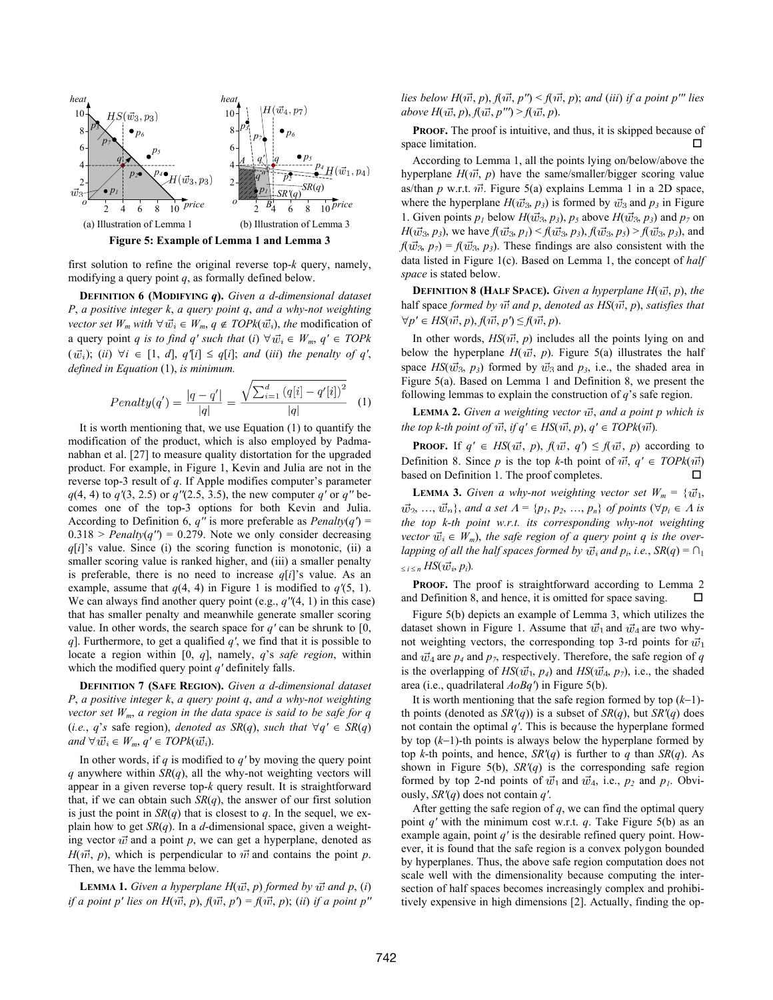



first solution to refine the original reverse top-*k* query, namely, modifying a query point *q*, as formally defined below.

**DEFINITION 6 (MODIFYING** *q***).** *Given a d-dimensional dataset P*, *a positive integer k*, *a query point q*, *and a why-not weighting vector set*  $W_m$  *with*  $\forall \vec{w}_i \in W_m$ ,  $q \notin TOPk(\vec{w}_i)$ , the modification of a query point *q is to find q' such that (i)*  $\forall \vec{w_i} \in W_m$ ,  $q' \in TOPk$  $(\vec{w_i})$ ; (*ii*)  $\forall i \in [1, d], q'[i] \leq q[i]$ ; *and* (*iii*) *the penalty of q'*, *defined in Equation* (1), *is minimum.*

$$
Penalty(q') = \frac{|q - q'|}{|q|} = \frac{\sqrt{\sum_{i=1}^{d} (q[i] - q'[i])^2}}{|q|} \quad (1)
$$

It is worth mentioning that, we use Equation (1) to quantify the modification of the product, which is also employed by Padmanabhan et al. [27] to measure quality distortation for the upgraded product. For example, in Figure 1, Kevin and Julia are not in the reverse top-3 result of *q*. If Apple modifies computer's parameter *q*(4, 4) to *q′*(3, 2.5) or *q′′*(2.5, 3.5), the new computer *q′* or *q′′* becomes one of the top-3 options for both Kevin and Julia. According to Definition 6,  $q''$  is more preferable as *Penalty* $(q')$  =  $0.318$  > *Penalty*( $q'$ ) = 0.279. Note we only consider decreasing *q*[*i*]'s value. Since (i) the scoring function is monotonic, (ii) a smaller scoring value is ranked higher, and (iii) a smaller penalty is preferable, there is no need to increase  $q[i]$ 's value. As an example, assume that  $q(4, 4)$  in Figure 1 is modified to  $q'(5, 1)$ . We can always find another query point (e.g., *q′′*(4, 1) in this case) that has smaller penalty and meanwhile generate smaller scoring value. In other words, the search space for  $q'$  can be shrunk to [0, *q*]. Furthermore, to get a qualified *q′*, we find that it is possible to locate a region within [0, *q*], namely, *q*'s *safe region*, within which the modified query point *q′* definitely falls.

**DEFINITION 7 (SAFE REGION).** *Given a d-dimensional dataset P*, *a positive integer k*, *a query point q*, *and a why-not weighting vector set Wm*, *a region in the data space is said to be safe for q*  (*i.e.*, *q*'s safe region), *denoted as SR(q)*, *such that*  $\forall q' \in SR(q)$ *and*  $\forall \vec{w}_i \in W_m$ ,  $q' \in TOPk(\vec{w}_i)$ .

In other words, if *q* is modified to *q'* by moving the query point *q* anywhere within *SR*(*q*), all the why-not weighting vectors will appear in a given reverse top-*k* query result. It is straightforward that, if we can obtain such  $SR(q)$ , the answer of our first solution is just the point in  $SR(q)$  that is closest to *q*. In the sequel, we explain how to get *SR*(*q*). In a *d*-dimensional space, given a weighting vector  $\vec{w}$  and a point  $p$ , we can get a hyperplane, denoted as  $H(\vec{w}, p)$ , which is perpendicular to  $\vec{w}$  and contains the point *p*. Then, we have the lemma below.

**LEMMA 1.** Given a hyperplane  $H(\vec{w}, p)$  formed by  $\vec{w}$  and  $p$ , (*i*) *if a point p' lies on*  $H(\vec{w}, p)$ *,*  $f(\vec{w}, p') = f(\vec{w}, p)$ *; (<i>ii*) *if a point p''*  *lies below H*( $\vec{w}$ , *p*),  $f(\vec{w}, p'') < f(\vec{w}, p)$ ; and (*iii*) *if a point p''' lies*  $above H(\vec{w}, p), f(\vec{w}, p'') > f(\vec{w}, p).$ 

**PROOF.** The proof is intuitive, and thus, it is skipped because of space limitation.  $\square$ 

According to Lemma 1, all the points lying on/below/above the hyperplane  $H(\vec{w}, p)$  have the same/smaller/bigger scoring value as/than  $p$  w.r.t.  $\vec{w}$ . Figure 5(a) explains Lemma 1 in a 2D space, where the hyperplane  $H(\vec{w}_3, p_3)$  is formed by  $\vec{w}_3$  and  $p_3$  in Figure 1. Given points  $p_1$  below  $H(\vec{w}_3, p_3)$ ,  $p_5$  above  $H(\vec{w}_3, p_3)$  and  $p_7$  on *H*( $\vec{w_3}$ ,  $p_3$ ), we have  $f(\vec{w_3}, p_1) \le f(\vec{w_3}, p_3)$ ,  $f(\vec{w_3}, p_5) \ge f(\vec{w_3}, p_3)$ , and  $f(\vec{w}_3, p_7) = f(\vec{w}_3, p_3)$ . These findings are also consistent with the data listed in Figure 1(c). Based on Lemma 1, the concept of *half space* is stated below.

**DEFINITION 8 (HALF SPACE).** Given a hyperplane  $H(\vec{w}, p)$ , the half space formed by  $u\vec{v}$  and p, denoted as  $HS(u\vec{v}, p)$ , satisfies that  $\forall p' \in HS(\vec{w}, p), f(\vec{w}, p') \leq f(\vec{w}, p).$ 

In other words,  $HS(\vec{w}, p)$  includes all the points lying on and below the hyperplane  $H(\vec{w}, p)$ . Figure 5(a) illustrates the half space  $HS(\vec{w}_3, p_3)$  formed by  $\vec{w}_3$  and  $p_3$ , i.e., the shaded area in Figure 5(a). Based on Lemma 1 and Definition 8, we present the following lemmas to explain the construction of *q*'s safe region.

**LEMMA 2.** *Given a weighting vector*  $\vec{w}$ *, and a point p which is the top k-th point of*  $\vec{w}$ *, if*  $q' \in HS(\vec{w}, p)$ *,*  $q' \in TOPk(\vec{w})$ *.* 

**PROOF.** If  $q' \in HS(\vec{w}, p)$ ,  $f(\vec{w}, q') \leq f(\vec{w}, p)$  according to Definition 8. Since *p* is the top *k*-th point of  $\vec{w}$ ,  $q' \in TOPk(\vec{w})$ based on Definition 1. The proof completes.

**LEMMA 3.** *Given a why-not weighting vector set*  $W_m = \{\vec{w}_1,$  $\vec{w}_2, \ldots, \vec{w}_n$ , and a set  $A = \{p_1, p_2, \ldots, p_n\}$  of points  $(\forall p_i \in A$  is *the top k-th point w.r.t. its corresponding why-not weighting vector*  $\vec{w}_i \in W_m$ , the safe region of a query point q is the over*lapping of all the half spaces formed by*  $\vec{w}_i$  *and*  $p_i$ *, i.e.,*  $SR(q) = \bigcap_i$  $\leq i \leq n$  *HS*( $\vec{w_i}, p_i$ ).

PROOF. The proof is straightforward according to Lemma 2 and Definition 8, and hence, it is omitted for space saving.  $\Box$ 

Figure 5(b) depicts an example of Lemma 3, which utilizes the dataset shown in Figure 1. Assume that  $\vec{w}_1$  and  $\vec{w}_4$  are two whynot weighting vectors, the corresponding top 3-rd points for  $\vec{w}_1$ and  $\vec{w}_4$  are  $p_4$  and  $p_7$ , respectively. Therefore, the safe region of *q* is the overlapping of  $HS(\vec{w}_1, p_4)$  and  $HS(\vec{w}_4, p_7)$ , i.e., the shaded area (i.e., quadrilateral *AoBq′*) in Figure 5(b).

It is worth mentioning that the safe region formed by top  $(k-1)$ th points (denoted as  $SR'(q)$ ) is a subset of  $SR(q)$ , but  $SR'(q)$  does not contain the optimal *q'*. This is because the hyperplane formed by top  $(k-1)$ -th points is always below the hyperplane formed by top *k*-th points, and hence,  $SR'(q)$  is further to *q* than  $SR(q)$ . As shown in Figure 5(b), *SR'*(*q*) is the corresponding safe region formed by top 2-nd points of  $\vec{w}_1$  and  $\vec{w}_4$ , i.e.,  $p_2$  and  $p_1$ . Obviously, *SR'*(*q*) does not contain *q'*.

After getting the safe region of *q*, we can find the optimal query point *q′* with the minimum cost w.r.t. *q*. Take Figure 5(b) as an example again, point *q′* is the desirable refined query point. However, it is found that the safe region is a convex polygon bounded by hyperplanes. Thus, the above safe region computation does not scale well with the dimensionality because computing the intersection of half spaces becomes increasingly complex and prohibitively expensive in high dimensions [2]. Actually, finding the op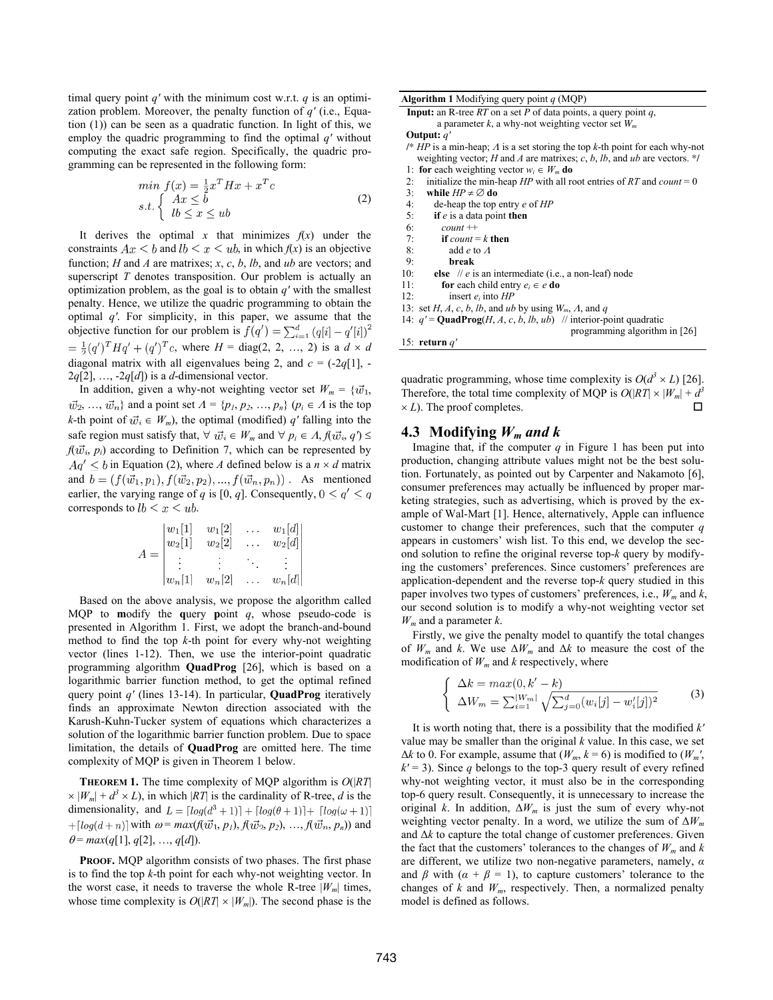timal query point *q′* with the minimum cost w.r.t. *q* is an optimization problem. Moreover, the penalty function of *q′* (i.e., Equation (1)) can be seen as a quadratic function. In light of this, we employ the quadric programming to find the optimal *q′* without computing the exact safe region. Specifically, the quadric programming can be represented in the following form:

$$
\min_{\mathbf{B}} f(x) = \frac{1}{2} x^T H x + x^T c
$$
\n
$$
\text{s.t.} \begin{cases} Ax \leq b \\ lb \leq x \leq ub \end{cases} \tag{2}
$$

It derives the optimal *x* that minimizes  $f(x)$  under the constraints  $Ax \leq b$  and  $lb \leq x \leq ub$ , in which  $f(x)$  is an objective function; *H* and *A* are matrixes; *x*, *c*, *b*, *lb*, and *ub* are vectors; and superscript *T* denotes transposition. Our problem is actually an optimization problem, as the goal is to obtain *q'* with the smallest penalty. Hence, we utilize the quadric programming to obtain the optimal *q'*. For simplicity, in this paper, we assume that the objective function for our problem is  $f(q') = \sum_{i=1}^{d} (q[i] - q'[i])^2$  $=\frac{1}{2}(q')^T H q' + (q')^T c$ , where  $H = \text{diag}(2, 2, ..., 2)$  is a  $d \times d$ diagonal matrix with all eigenvalues being 2, and  $c = (-2q[1])$ .  $2q[2]$ , ...,  $-2q[d]$ ) is a *d*-dimensional vector.

In addition, given a why-not weighting vector set  $W_m = \{\vec{w}_1, \vec{w}_2\}$  $\vec{w}_2, \ldots, \vec{w}_n$  and a point set  $A = \{p_1, p_2, \ldots, p_n\}$   $(p_i \in A$  is the top *k*-th point of  $\vec{w}_i \in W_m$ , the optimal (modified) *q'* falling into the safe region must satisfy that,  $\forall \vec{w_i} \in W_m$  and  $\forall p_i \in A, f(\vec{w_i}, q') \leq \vec{w_i}$  $f(\vec{w}_i, p_i)$  according to Definition 7, which can be represented by  $Aq' \leq b$  in Equation (2), where *A* defined below is a  $n \times d$  matrix and  $b = (f(\vec{w_1}, p_1), f(\vec{w_2}, p_2), ..., f(\vec{w_n}, p_n))$ . As mentioned earlier, the varying range of *q* is [0, *q*]. Consequently,  $0 \le q' \le q$ corresponds to  $lb \leq x \leq ub$ .

$$
A = \begin{vmatrix} w_1[1] & w_1[2] & \dots & w_1[d] \\ w_2[1] & w_2[2] & \dots & w_2[d] \\ \vdots & \vdots & \ddots & \vdots \\ w_n[1] & w_n[2] & \dots & w_n[d] \end{vmatrix}
$$

Based on the above analysis, we propose the algorithm called MQP to **m**odify the **q**uery **p**oint *q*, whose pseudo-code is presented in Algorithm 1. First, we adopt the branch-and-bound method to find the top *k*-th point for every why-not weighting vector (lines 1-12). Then, we use the interior-point quadratic programming algorithm **QuadProg** [26], which is based on a logarithmic barrier function method, to get the optimal refined query point *q′* (lines 13-14). In particular, **QuadProg** iteratively finds an approximate Newton direction associated with the Karush-Kuhn-Tucker system of equations which characterizes a solution of the logarithmic barrier function problem. Due to space limitation, the details of **QuadProg** are omitted here. The time complexity of MQP is given in Theorem 1 below.

**THEOREM 1.** The time complexity of MQP algorithm is *O*(|*RT*|  $\times |W_m| + d^3 \times L$ , in which |*RT*| is the cardinality of R-tree, *d* is the dimensionality, and  $L = \lfloor log(d^3 + 1) \rfloor + \lfloor log(\theta + 1) \rfloor + \lfloor log(\omega + 1) \rfloor$  $+[log(d+n)]$  with  $\omega = max(f(\vec{w_1}, p_1), f(\vec{w_2}, p_2), ..., f(\vec{w_n}, p_n))$  and  $\theta$  = *max*(*q*[1], *q*[2], ..., *q*[*d*]).

**PROOF.** MOP algorithm consists of two phases. The first phase is to find the top *k*-th point for each why-not weighting vector. In the worst case, it needs to traverse the whole R-tree  $|W_m|$  times, whose time complexity is  $O(|RT| \times |W_m|)$ . The second phase is the

| <b>Algorithm 1</b> Modifying query point $q$ (MQP)                                    |  |  |  |  |  |  |
|---------------------------------------------------------------------------------------|--|--|--|--|--|--|
| <b>Input:</b> an R-tree RT on a set P of data points, a query point q,                |  |  |  |  |  |  |
| a parameter k, a why-not weighting vector set $W_m$                                   |  |  |  |  |  |  |
| Output: $q'$                                                                          |  |  |  |  |  |  |
| /* $HP$ is a min-heap; $\Lambda$ is a set storing the top k-th point for each why-not |  |  |  |  |  |  |
| weighting vector; H and A are matrixes; c, b, lb, and ub are vectors. */              |  |  |  |  |  |  |
| 1: for each weighting vector $w_i \in W_m$ do                                         |  |  |  |  |  |  |
| initialize the min-heap $HP$ with all root entries of RT and count = 0<br>2:          |  |  |  |  |  |  |
| 3:<br>while $HP \neq \emptyset$ do                                                    |  |  |  |  |  |  |
| 4:<br>de-heap the top entry $e$ of $HP$                                               |  |  |  |  |  |  |
| 5:<br>if $e$ is a data point then                                                     |  |  |  |  |  |  |
| 6:<br>$count++$                                                                       |  |  |  |  |  |  |
| 7:<br>if count $=k$ then                                                              |  |  |  |  |  |  |
| 8:<br>add $e$ to $\Lambda$                                                            |  |  |  |  |  |  |
| 9:<br>break                                                                           |  |  |  |  |  |  |
| 10:<br>else // e is an intermediate (i.e., a non-leaf) node                           |  |  |  |  |  |  |
| 11:<br><b>for</b> each child entry $e_i \in e$ <b>do</b>                              |  |  |  |  |  |  |
| 12:<br>insert $e_i$ into $HP$                                                         |  |  |  |  |  |  |
| 13: set H, A, c, b, lb, and ub by using $W_m$ , A, and q                              |  |  |  |  |  |  |
| 14: $q' = \text{QuadProg}(H, A, c, b, lb, ub)$ // interior-point quadratic            |  |  |  |  |  |  |
| programming algorithm in $[26]$                                                       |  |  |  |  |  |  |
| 15: return $a'$                                                                       |  |  |  |  |  |  |

quadratic programming, whose time complexity is  $O(d^3 \times L)$  [26]. Therefore, the total time complexity of MQP is  $O(|RT| \times |W_m| + d^3)$  $\times$  *L*). The proof completes.

# **4.3 Modifying**  $W_m$  and k

Imagine that, if the computer  $q$  in Figure 1 has been put into production, changing attribute values might not be the best solution. Fortunately, as pointed out by Carpenter and Nakamoto [6], consumer preferences may actually be influenced by proper marketing strategies, such as advertising, which is proved by the example of Wal-Mart [1]. Hence, alternatively, Apple can influence customer to change their preferences, such that the computer *q* appears in customers' wish list. To this end, we develop the second solution to refine the original reverse top-*k* query by modifying the customers' preferences. Since customers' preferences are application-dependent and the reverse top-*k* query studied in this paper involves two types of customers' preferences, i.e.,  $W_m$  and  $k$ , our second solution is to modify a why-not weighting vector set *Wm* and a parameter *k*.

Firstly, we give the penalty model to quantify the total changes of  $W_m$  and *k*. We use  $\Delta W_m$  and  $\Delta k$  to measure the cost of the modification of  $W_m$  and  $k$  respectively, where

$$
\begin{cases} \Delta k = max(0, k' - k) \\ \Delta W_m = \sum_{i=1}^{|W_m|} \sqrt{\sum_{j=0}^d (w_i[j] - w'_i[j])^2} \end{cases}
$$
 (3)

It is worth noting that, there is a possibility that the modified *k′* value may be smaller than the original *k* value. In this case, we set  $\Delta k$  to 0. For example, assume that ( $W_m$ ,  $k = 6$ ) is modified to ( $W_m'$ ,  $k'$  = 3). Since *q* belongs to the top-3 query result of every refined why-not weighting vector, it must also be in the corresponding top-6 query result. Consequently, it is unnecessary to increase the original *k*. In addition,  $\Delta W_m$  is just the sum of every why-not weighting vector penalty. In a word, we utilize the sum of Δ*Wm* and Δ*k* to capture the total change of customer preferences. Given the fact that the customers' tolerances to the changes of  $W_m$  and  $k$ are different, we utilize two non-negative parameters, namely, *α* and  $\beta$  with  $(\alpha + \beta = 1)$ , to capture customers' tolerance to the changes of  $k$  and  $W_m$ , respectively. Then, a normalized penalty model is defined as follows.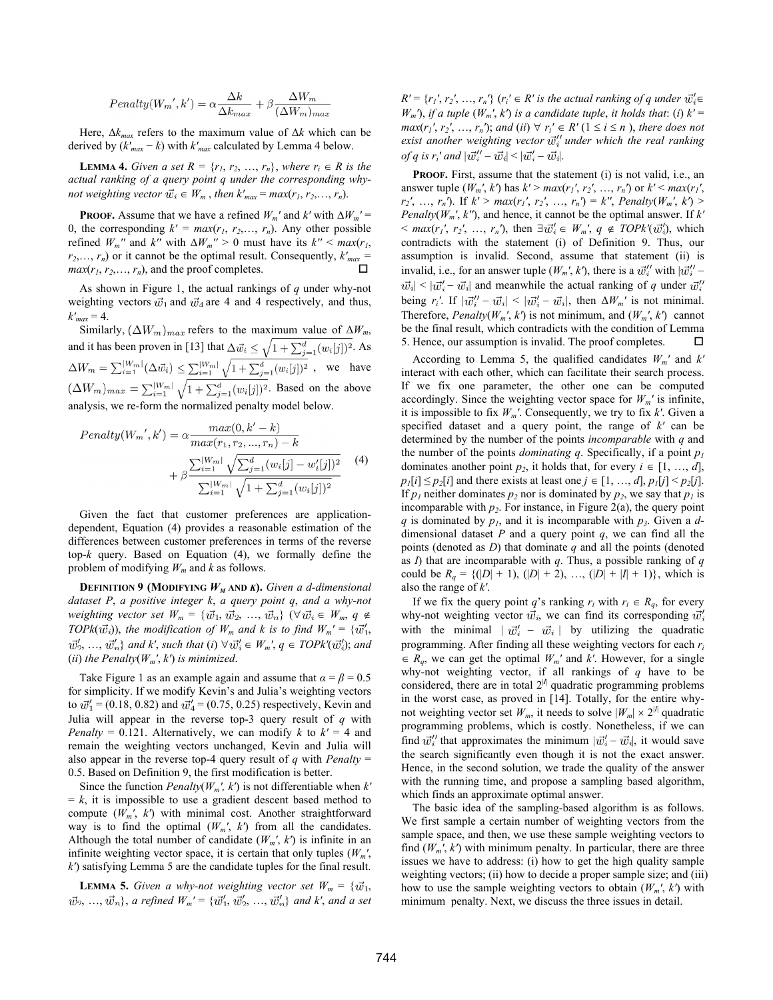$$
Penalty(W_m', k') = \alpha \frac{\Delta k}{\Delta k_{max}} + \beta \frac{\Delta W_m}{(\Delta W_m)_{max}}
$$

Here,  $\Delta k_{max}$  refers to the maximum value of  $\Delta k$  which can be derived by  $(k'_{max} - k)$  with  $k'_{max}$  calculated by Lemma 4 below.

**LEMMA 4.** *Given a set*  $R = \{r_1, r_2, ..., r_n\}$ , *where*  $r_i \in R$  *is the actual ranking of a query point q under the corresponding whynot weighting vector*  $\vec{w_i} \in W_m$ , *then*  $k'_{max} = max(r_1, r_2, \ldots, r_n)$ .

**PROOF.** Assume that we have a refined  $W_m'$  and  $k'$  with  $\Delta W_m' =$ 0, the corresponding  $k' = max(r_1, r_2,..., r_n)$ . Any other possible refined  $W_m$ <sup>*′′*</sup> and  $k''$  with  $\Delta W_m$ <sup>*′′* > 0 must have its  $k''$  <  $max(r_1,$ </sup>  $r_2, \ldots, r_n$  or it cannot be the optimal result. Consequently,  $k'_{max} = mc(r, r, r)$  and the proof completes  $max(r_1, r_2, \ldots, r_n)$ , and the proof completes.

As shown in Figure 1, the actual rankings of *q* under why-not weighting vectors  $\vec{w}_1$  and  $\vec{w}_4$  are 4 and 4 respectively, and thus,  $k'_{max} = 4$ .

Similarly,  $(\Delta W_m)_{max}$  refers to the maximum value of  $\Delta W_m$ , and it has been proven in [13] that  $\Delta \vec{w_i} \leq \sqrt{1 + \sum_{i=1}^d (w_i[j])^2}$ . As , we have  $(\Delta W_m)_{max} = \sum_{i=1}^{|W_m|} \sqrt{1 + \sum_{j=1}^d (w_i[j])^2}$ . Based on the above analysis, we re-form the normalized penalty model below.

$$
Penalty(W_m', k') = \alpha \frac{max(0, k' - k)}{max(r_1, r_2, ..., r_n) - k} + \beta \frac{\sum_{i=1}^{|W_m|} \sqrt{\sum_{j=1}^d (w_i[j] - w'_i[j])^2}}{\sum_{i=1}^{|W_m|} \sqrt{1 + \sum_{j=1}^d (w_i[j])^2}}
$$
(4)

Given the fact that customer preferences are applicationdependent, Equation (4) provides a reasonable estimation of the differences between customer preferences in terms of the reverse top-*k* query. Based on Equation (4), we formally define the problem of modifying *Wm* and *k* as follows.

**DEFINITION 9 (MODIFYING**  $W_M$  **AND** *K***).** *Given a d-dimensional dataset P*, *a positive integer k*, *a query point q*, *and a why-not weighting vector set*  $W_m = {\overline{w_1}, \overline{w_2}, ..., \overline{w_n}} \quad (\forall \overline{w_i} \in W_m, q \notin W_m)$ *TOPk*( $\vec{w}_i$ )), the modification of  $W_m$  and k is to find  $W_m' = {\vec{w}_1'}$ .  $\vec{w}'_2, \ldots, \vec{w}'_n$  and  $k'$ , such that  $(i) \,\forall \vec{w}'_i \in W_m$ ,  $q \in TOPk'(\vec{w}'_i)$ ; and (*ii*) *the Penalty*( $W_m$ ',  $k$ ') *is minimized.* 

Take Figure 1 as an example again and assume that  $\alpha = \beta = 0.5$ for simplicity. If we modify Kevin's and Julia's weighting vectors to  $\vec{w}'_1$  = (0.18, 0.82) and  $\vec{w}'_4$  = (0.75, 0.25) respectively, Kevin and Julia will appear in the reverse top-3 query result of *q* with *Penalty* = 0.121. Alternatively, we can modify *k* to  $k' = 4$  and remain the weighting vectors unchanged, Kevin and Julia will also appear in the reverse top-4 query result of  $q$  with *Penalty* = 0.5. Based on Definition 9, the first modification is better.

Since the function *Penalty*( $W_m$ <sup>*'*</sup>,  $k$ <sup>*'*</sup>) is not differentiable when  $k$ <sup>*'*</sup>  $= k$ , it is impossible to use a gradient descent based method to compute (*Wm′*, *k′*) with minimal cost. Another straightforward way is to find the optimal  $(W_m', k')$  from all the candidates. Although the total number of candidate  $(W_m', k')$  is infinite in an infinite weighting vector space, it is certain that only tuples  $(W_m)$ , *k′*) satisfying Lemma 5 are the candidate tuples for the final result.

**LEMMA 5.** *Given a why-not weighting vector set*  $W_m = \{\vec{w}_1,$  $\vec{w}_2, \ldots, \vec{w}_n$ , *a refined*  $W_m' = {\vec{w}'_1, \vec{w}'_2, \ldots, \vec{w}'_n}$  *and k', and a set*   $R' = \{r_1', r_2', \ldots, r_n'\}$  ( $r_i' \in R'$  is the actual ranking of *q* under  $\vec{w}_i' \in R$ *W<sub>m</sub>*<sup> $\prime$ </sup>), *if a tuple* (*W<sub>m</sub>*<sup> $\prime$ </sup>, *k*<sup> $\prime$ </sup>) *is a candidate tuple, <i>it holds that*: (*i*)  $k' =$ *max*( $r_1$ ',  $r_2$ ', ...,  $r_n$ '); *and* (*ii*)  $\forall r_i' \in R'$  ( $1 \le i \le n$ ), *there does not exist another weighting vector*  $\vec{w}''_i$  *under which the real ranking of q is r<sub>i</sub>' and*  $|\vec{w}''_i - \vec{w}_i|$  <  $|\vec{w}'_i - \vec{w}_i|$ .

**PROOF.** First, assume that the statement (i) is not valid, i.e., an answer tuple  $(W_m', k')$  has  $k' > max(r_1', r_2', ..., r_n')$  or  $k' < max(r_1',$ *r*<sub>2</sub><sup>*′*</sup>, …, *r<sub>n</sub>*<sup>*′*</sup>). If  $k' > max(r_1', r_2', ..., r_n') = k''$ , *Penalty*( $W_m'$ ,  $k'$ ) > *Penalty*(*Wm′*, *k′′*), and hence, it cannot be the optimal answer. If *k′*  $\leq$  *max*(*r<sub>1</sub>'*, *r<sub>2</sub>'*, ..., *r<sub>n</sub>*'), then  $\exists \vec{w}'_i \in W_m$ ',  $q \notin TOPk'(\vec{w}'_i)$ , which contradicts with the statement (i) of Definition 9. Thus, our assumption is invalid. Second, assume that statement (ii) is invalid, i.e., for an answer tuple  $(W_m', k')$ , there is a  $\vec{w}''_i$  with  $|\vec{w}''_i |\vec{w}_i|$  <  $|\vec{w}_i' - \vec{w}_i|$  and meanwhile the actual ranking of *q* under  $\vec{w}_i''$ being  $r_i'$ . If  $|\vec{w}_i'' - \vec{w}_i| < |\vec{w}_i' - \vec{w}_i|$ , then  $\Delta W_m'$  is not minimal. Therefore, *Penalty*( $W_m$ ',  $k'$ ) is not minimum, and ( $W_m$ ',  $k'$ ) cannot be the final result, which contradicts with the condition of Lemma 5. Hence, our assumption is invalid. The proof completes.  $\Box$ 

According to Lemma 5, the qualified candidates *Wm′* and *k′* interact with each other, which can facilitate their search process. If we fix one parameter, the other one can be computed accordingly. Since the weighting vector space for  $W_m'$  is infinite, it is impossible to fix  $W_m'$ . Consequently, we try to fix  $k'$ . Given a specified dataset and a query point, the range of *k′* can be determined by the number of the points *incomparable* with *q* and the number of the points *dominating q*. Specifically, if a point  $p_1$ dominates another point  $p_2$ , it holds that, for every  $i \in [1, ..., d]$ ,  $p_1[i] \leq p_2[i]$  and there exists at least one  $j \in [1, ..., d]$ ,  $p_1[j] \leq p_2[j]$ . If  $p_1$  neither dominates  $p_2$  nor is dominated by  $p_2$ , we say that  $p_1$  is incomparable with  $p_2$ . For instance, in Figure 2(a), the query point *q* is dominated by  $p_1$ , and it is incomparable with  $p_3$ . Given a *d*dimensional dataset *P* and a query point *q*, we can find all the points (denoted as *D*) that dominate *q* and all the points (denoted as *I*) that are incomparable with *q*. Thus, a possible ranking of *q* could be  $R_q = \{(|D| + 1), (|D| + 2), ..., (|D| + |I| + 1)\},\}$ , which is also the range of *k′*.

If we fix the query point *q*'s ranking  $r_i$  with  $r_i \in R_q$ , for every why-not weighting vector  $\vec{w_i}$ , we can find its corresponding  $\vec{w_i'}$ with the minimal  $| \vec{w}'_i - \vec{w}_i |$  by utilizing the quadratic programming. After finding all these weighting vectors for each *ri*  $R_q$ , we can get the optimal  $W_m'$  and  $k'$ . However, for a single why-not weighting vector, if all rankings of *q* have to be considered, there are in total  $2^{|l|}$  quadratic programming problems in the worst case, as proved in [14]. Totally, for the entire whynot weighting vector set  $W_m$ , it needs to solve  $|W_m| \times 2^{|I|}$  quadratic programming problems, which is costly. Nonetheless, if we can find  $\vec{w}_i''$  that approximates the minimum  $|\vec{w}_i' - \vec{w}_i|$ , it would save the search significantly even though it is not the exact answer. Hence, in the second solution, we trade the quality of the answer with the running time, and propose a sampling based algorithm, which finds an approximate optimal answer.

The basic idea of the sampling-based algorithm is as follows. We first sample a certain number of weighting vectors from the sample space, and then, we use these sample weighting vectors to find  $(W_m', k')$  with minimum penalty. In particular, there are three issues we have to address: (i) how to get the high quality sample weighting vectors; (ii) how to decide a proper sample size; and (iii) how to use the sample weighting vectors to obtain  $(W_m', k')$  with minimum penalty. Next, we discuss the three issues in detail.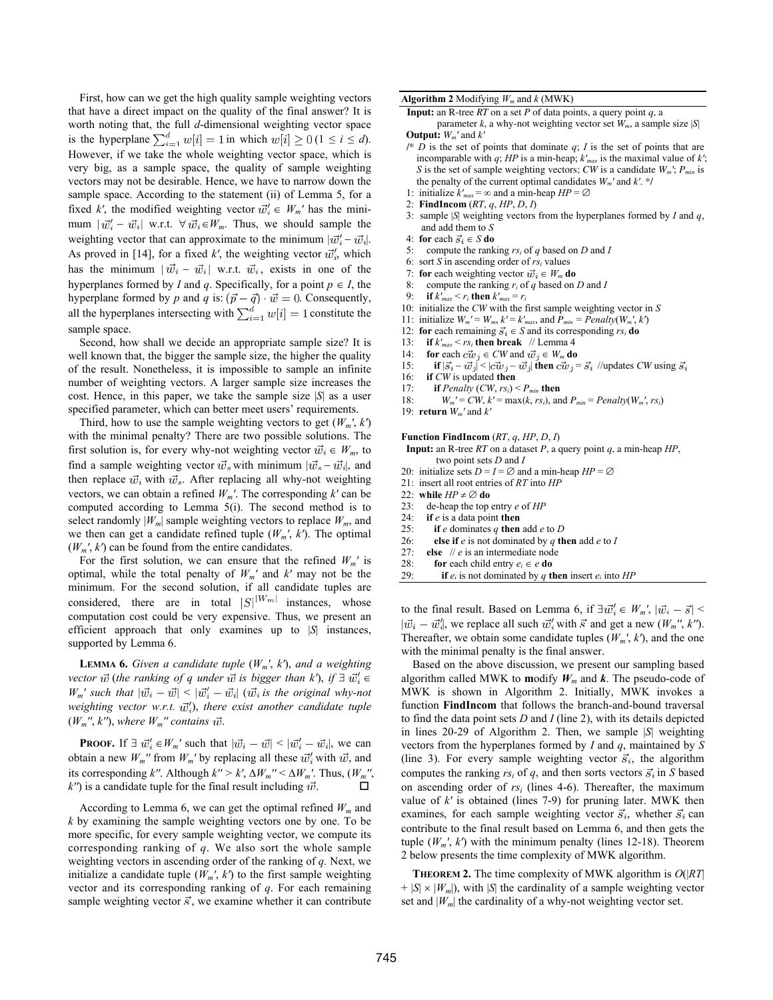First, how can we get the high quality sample weighting vectors that have a direct impact on the quality of the final answer? It is worth noting that, the full *d*-dimensional weighting vector space is the hyperplane  $\sum_{i=1}^{d} w[i] = 1$  in which  $w[i] \ge 0$  ( $1 \le i \le d$ ). However, if we take the whole weighting vector space, which is very big, as a sample space, the quality of sample weighting vectors may not be desirable. Hence, we have to narrow down the sample space. According to the statement (ii) of Lemma 5, for a fixed *k'*, the modified weighting vector  $\vec{w}'_i \in W_m'$  has the minimum  $|\vec{w}_i' - \vec{w}_i|$  w.r.t.  $\forall \vec{w}_i \in W_m$ . Thus, we should sample the weighting vector that can approximate to the minimum  $|\vec{w}_i'-\vec{w}_i|$ . As proved in [14], for a fixed  $k'$ , the weighting vector  $\vec{w}'_i$ , which has the minimum  $|\vec{w}_i - \vec{w}_i|$  w.r.t.  $\vec{w}_i$ , exists in one of the hyperplanes formed by *I* and *q*. Specifically, for a point  $p \in I$ , the hyperplane formed by p and q is:  $(\vec{p} - \vec{q}) \cdot \vec{w} = 0$ . Consequently, all the hyperplanes intersecting with  $\sum_{i=1}^{a} w[i] = 1$  constitute the sample space.

Second, how shall we decide an appropriate sample size? It is well known that, the bigger the sample size, the higher the quality of the result. Nonetheless, it is impossible to sample an infinite number of weighting vectors. A larger sample size increases the cost. Hence, in this paper, we take the sample size |*S*| as a user specified parameter, which can better meet users' requirements.

Third, how to use the sample weighting vectors to get  $(W_m', k')$ with the minimal penalty? There are two possible solutions. The first solution is, for every why-not weighting vector  $\vec{w}_i \in W_m$ , to find a sample weighting vector  $\vec{w}_s$  with minimum  $|\vec{w}_s - \vec{w}_i|$ , and then replace  $\vec{w}_i$  with  $\vec{w}_s$ . After replacing all why-not weighting vectors, we can obtain a refined *Wm′*. The corresponding *k′* can be computed according to Lemma 5(i). The second method is to select randomly  $|W_m|$  sample weighting vectors to replace  $W_m$ , and we then can get a candidate refined tuple  $(W_m', k')$ . The optimal  $(W_m', k')$  can be found from the entire candidates.

For the first solution, we can ensure that the refined  $W_m'$  is optimal, while the total penalty of *Wm′* and *k′* may not be the minimum. For the second solution, if all candidate tuples are considered, there are in total  $|S|^{[W_m]}$  instances, whose computation cost could be very expensive. Thus, we present an efficient approach that only examines up to |*S*| instances, supported by Lemma 6.

**LEMMA 6.** Given a candidate tuple  $(W_m', k')$ , and a weighting *vector*  $\vec{w}$  (*the ranking of q under*  $\vec{w}$  *is bigger than k'*), *if*  $\exists$   $\vec{w}'_i$   $\in$  $W_m'$  *such that*  $|\vec{w}_i - \vec{w}| \leq |\vec{w}'_i - \vec{w}_i|$  ( $\vec{w}_i$  is the original why-not *weighting vector w.r.t.*  $\vec{w}'_i$ *), there exist another candidate tuple*  $(W_m'', k'')$ , where  $W_m'$  contains  $\overrightarrow{w}$ .

**PROOF.** If  $\exists \vec{w}'_i \in W_m'$  such that  $|\vec{w}_i - \vec{w}| < |\vec{w}'_i - \vec{w}_i|$ , we can obtain a new  $W_m$ <sup>*''*</sup> from  $W_m$ <sup>'</sup> by replacing all these  $\vec{w}'_i$  with  $\vec{w}$ , and its corresponding *k''*. Although  $k'' > k'$ ,  $\Delta W_m'' \leq \Delta W_m'$ . Thus,  $(W_m'$  $k'$ <sup>*()*</sup>) is a candidate tuple for the final result including  $\vec{w}$ .

According to Lemma 6, we can get the optimal refined  $W_m$  and *k* by examining the sample weighting vectors one by one. To be more specific, for every sample weighting vector, we compute its corresponding ranking of *q*. We also sort the whole sample weighting vectors in ascending order of the ranking of *q.* Next, we initialize a candidate tuple  $(W_m', k')$  to the first sample weighting vector and its corresponding ranking of *q*. For each remaining sample weighting vector  $\vec{s}$ , we examine whether it can contribute

#### **Algorithm 2** Modifying  $W_m$  and  $k$  (MWK)

**Input:** an R-tree *RT* on a set *P* of data points, a query point *q*, a

parameter *k*, a why-not weighting vector set  $W_m$ , a sample size |*S*| **Output:** *Wm′* and *k′*

- $\mathcal{N}^*$  *D* is the set of points that dominate  $q$ ; *I* is the set of points that are incomparable with *q*; *HP* is a min-heap; *k′max* is the maximal value of *k′*; *S* is the set of sample weighting vectors; *CW* is a candidate  $W_m$ *<sup>'</sup>*;  $P_{min}$  is the penalty of the current optimal candidates *Wm′* and *k′*. \*/
- 1: initialize  $k'_{max} = \infty$  and a min-heap  $HP = \emptyset$
- 2: **FindIncom** (*RT*, *q*, *HP*, *D*, *I*)
- 3: sample |*S*| weighting vectors from the hyperplanes formed by *I* and *q*, and add them to *S*
- 4: **for** each  $\vec{s}_i \in S$  **do**
- 5: compute the ranking  $rs_i$  of *q* based on *D* and *I* 6: sort *S* in ascending order of  $rs_i$  values
- 6: sort *S* in ascending order of *rsi* values
- 7: **for** each weighting vector  $\vec{w}_i \in W_m$  **do**<br>8: compute the ranking r, of a based on
- 8: compute the ranking  $r_i$  of  $q$  based on *D* and *I* 9: if  $k'_{max} < r_i$  then  $k'_{max} = r_i$
- **if**  $k'_{max} < r_i$  **then**  $k'_{max} = r_i$
- 10: initialize the *CW* with the first sample weighting vector in *S*
- 11: initialize  $W_m' = W_m$ ,  $k' = k'_{max}$ , and  $P_{min} = Penalty(W_m', k')$
- 12: **for** each remaining  $\vec{s}_i \in S$  and its corresponding  $rs_i$  **do**
- 13: **if**  $k'_{max} < rs_i$  **then break** // Lemma 4<br>14: **for** each  $c\vec{w}_i \in CW$  and  $\vec{w}_i \in W_m$  **do**
- 14: **for** each  $c\vec{w}_j \in CW$  and  $\vec{w}_j \in W_m$  **do**<br>15: **if**  $|\vec{s}_i \vec{w}_j| < |c\vec{w}_j \vec{w}_j|$  **then**  $c\vec{w}_j =$
- if  $|\vec{s}_i \vec{w}_j|$  <  $|c\vec{w}_j \vec{w}_j|$  then  $c\vec{w}_j = \vec{s}_i$  //updates *CW* using  $\vec{s}_i$
- 16: **if** *CW* is updated **then**
- 17: **if** *Penalty* (*CW*,  $rs_i$ ) < *P<sub>min</sub>* **then**
- 18:  $W_m' = CW, k' = \max(k, rs_i), \text{ and } P_{min} = \text{Penalty}(W_m', rs_i)$
- 19: **return** *Wm′* and *k′*

**Function FindIncom** (*RT*, *q*, *HP*, *D*, *I*)

- **Input:** an R-tree *RT* on a dataset *P*, a query point *q*, a min-heap *HP*, two point sets *D* and *I*
- 20: initialize sets  $D = I = \emptyset$  and a min-heap  $HP = \emptyset$
- 21: insert all root entries of *RT* into *HP*
- 22: **while**  $HP \neq \emptyset$  **do**<br>23: **de-heap** the top
- 23: de-heap the top entry  $e$  of  $HP$ <br>24: **if**  $e$  is a data point **then**
- 24: **if**  $e$  is a data point **then**<br>25: **if**  $e$  dominates  $q$  **then**
- if  $e$  dominates  $q$  then add  $e$  to  $D$
- 26: **else if** *e* is not dominated by *q* **then** add *e* to *I*
- 27: **else** // *e* is an intermediate node
- 
- 28: **for** each child entry  $e_i \in e$  **do**<br>29: **if**  $e_i$  is not dominated by q **t** if  $e_i$  is not dominated by  $q$  then insert  $e_i$  into  $HP$

to the final result. Based on Lemma 6, if  $\exists \vec{w}'_i \in W_m'$ ,  $|\vec{w}_i - \vec{s}|$  $|\vec{w_i} - \vec{w'_i}|$ , we replace all such  $\vec{w'_i}$  with  $\vec{s}$  and get a new  $(W_m''', k'')$ . Thereafter, we obtain some candidate tuples  $(W_m', k')$ , and the one with the minimal penalty is the final answer.

Based on the above discussion, we present our sampling based algorithm called MWK to modify  $W_m$  and  $k$ . The pseudo-code of MWK is shown in Algorithm 2. Initially, MWK invokes a function **FindIncom** that follows the branch-and-bound traversal to find the data point sets *D* and *I* (line 2), with its details depicted in lines 20-29 of Algorithm 2. Then, we sample |*S*| weighting vectors from the hyperplanes formed by *I* and *q*, maintained by *S*  (line 3). For every sample weighting vector  $\vec{s}_i$ , the algorithm computes the ranking  $rs_i$  of q, and then sorts vectors  $\vec{s}_i$  in *S* based on ascending order of *rsi* (lines 4-6). Thereafter, the maximum value of *k'* is obtained (lines 7-9) for pruning later. MWK then examines, for each sample weighting vector  $\vec{s}_i$ , whether  $\vec{s}_i$  can contribute to the final result based on Lemma 6, and then gets the tuple  $(W_m', k')$  with the minimum penalty (lines 12-18). Theorem 2 below presents the time complexity of MWK algorithm.

**THEOREM 2.** The time complexity of MWK algorithm is *O*(|*RT*|  $+ |S| \times |W_m|$ , with |*S*| the cardinality of a sample weighting vector set and  $|W_m|$  the cardinality of a why-not weighting vector set.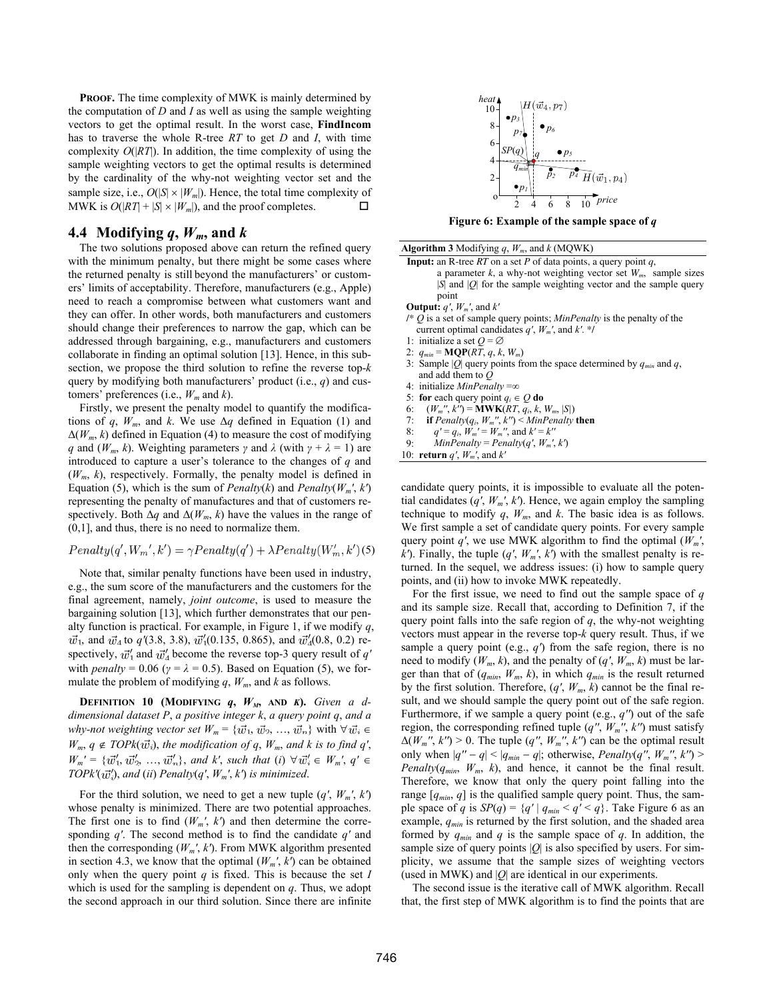**PROOF.** The time complexity of MWK is mainly determined by the computation of *D* and *I* as well as using the sample weighting vectors to get the optimal result. In the worst case, **FindIncom** has to traverse the whole R-tree *RT* to get *D* and *I*, with time complexity  $O(|RT|)$ . In addition, the time complexity of using the sample weighting vectors to get the optimal results is determined by the cardinality of the why-not weighting vector set and the sample size, i.e.,  $O(|S| \times |W_m|)$ . Hence, the total time complexity of MWK is  $O(|RT| + |S| \times |W_m|)$ , and the proof completes.

# **4.4 Modifying**  $q$ **,**  $W_m$ **, and**  $k$

The two solutions proposed above can return the refined query with the minimum penalty, but there might be some cases where the returned penalty is still beyond the manufacturers' or customers' limits of acceptability. Therefore, manufacturers (e.g., Apple) need to reach a compromise between what customers want and they can offer. In other words, both manufacturers and customers should change their preferences to narrow the gap, which can be addressed through bargaining, e.g., manufacturers and customers collaborate in finding an optimal solution [13]. Hence, in this subsection, we propose the third solution to refine the reverse top-*k* query by modifying both manufacturers' product (i.e., *q*) and customers' preferences (i.e., *Wm* and *k*).

Firstly, we present the penalty model to quantify the modifications of *q*,  $W_m$ , and *k*. We use  $\Delta q$  defined in Equation (1) and  $\Delta(W_m, k)$  defined in Equation (4) to measure the cost of modifying *q* and ( $W_m$ , k). Weighting parameters *γ* and  $\lambda$  (with  $\gamma + \lambda = 1$ ) are introduced to capture a user's tolerance to the changes of *q* and (*Wm*, *k*), respectively. Formally, the penalty model is defined in Equation (5), which is the sum of *Penalty*(*k*) and *Penalty*( $W_m$ <sup>*'*</sup>,  $k$ <sup>'</sup>) representing the penalty of manufactures and that of customers respectively. Both  $\Delta q$  and  $\Delta(W_m, k)$  have the values in the range of (0,1], and thus, there is no need to normalize them.

$$
Penalty(q', W_{m}', k') = \gamma Penalty(q') + \lambda Penalty(W'_{m}, k')(5)
$$

Note that, similar penalty functions have been used in industry, e.g., the sum score of the manufacturers and the customers for the final agreement, namely, *joint outcome*, is used to measure the bargaining solution [13], which further demonstrates that our penalty function is practical. For example, in Figure 1, if we modify *q*,  $\vec{w}_1$ , and  $\vec{w}_4$  to  $q'(3.8, 3.8), \vec{w}_1'(0.135, 0.865)$ , and  $\vec{w}_4'(0.8, 0.2)$  respectively,  $\vec{w}'_1$  and  $\vec{w}'_4$  become the reverse top-3 query result of *q'* with *penalty* = 0.06 ( $\gamma$  =  $\lambda$  = 0.5). Based on Equation (5), we formulate the problem of modifying *q*, *Wm*, and *k* as follows.

**DEFINITION 10 (MODIFYING**  $q$ **,**  $W_M$ **, AND**  $K$ **).** *Given a ddimensional dataset P*, *a positive integer k*, *a query point q*, *and a why-not weighting vector set*  $W_m = {\vec{w}_1, \vec{w}_2, ..., \vec{w}_n}$  with  $\forall \vec{w}_i \in$  $W_m$ ,  $q \notin TOPk(\vec{w}_i)$ , the modification of q,  $W_m$ , and k is to find q',  $W_m' = {\bar{w}'_1, \bar{w}'_2, ..., \bar{w}'_n}$ , and  $k'$ , such that (*i*)  $\forall \bar{w}'_i \in W_m'$ ,  $q' \in W_m$ *TOPk*<sup> $\langle w_n^{\prime} \rangle$ *, and* (*ii*) *Penalty*(*q*<sup> $\prime$ </sup>, *W<sub>m</sub>*<sup> $\prime$ </sup>, *k*<sup> $\prime$ </sup>) *is minimized.*</sup>

For the third solution, we need to get a new tuple  $(q', W_m', k')$ whose penalty is minimized. There are two potential approaches. The first one is to find  $(W_m', k')$  and then determine the corresponding *q′*. The second method is to find the candidate *q′* and then the corresponding (*Wm′*, *k′*). From MWK algorithm presented in section 4.3, we know that the optimal  $(W_m', k')$  can be obtained only when the query point  $q$  is fixed. This is because the set  $I$ which is used for the sampling is dependent on *q*. Thus, we adopt the second approach in our third solution. Since there are infinite



**Figure 6: Example of the sample space of** *q*

| <b>Algorithm 3</b> Modifying q, $W_m$ , and k (MQWK)                          |
|-------------------------------------------------------------------------------|
| <b>Input:</b> an R-tree RT on a set P of data points, a query point q,        |
| a parameter k, a why-not weighting vector set $W_m$ , sample sizes            |
| $ S $ and $ O $ for the sample weighting vector and the sample query          |
| point                                                                         |
| <b>Output:</b> $q'$ , $W_m'$ , and $k'$                                       |
| /* O is a set of sample query points; <i>MinPenalty</i> is the penalty of the |
| current optimal candidates q', $W_m$ ', and k'. */                            |
| 1: initialize a set $O = \emptyset$                                           |
| 2: $q_{min} = \text{MQP}(RT, q, k, W_m)$                                      |
| 3: Sample  Q  query points from the space determined by $q_{min}$ and q,      |
| and add them to $O$                                                           |
| 4: initialize <i>MinPenalty</i> = $\infty$                                    |
| 5: for each query point $q_i \in Q$ do                                        |
| $(W_m'', k'') = MWK(RT, q_i, k, W_m,  S )$<br>6:                              |
| 7: if $Penalty(q_i, W_m'', k'') \leq MinPenalty$ then                         |
| 8: $q' = q_i$ , $W_m' = W_m''$ , and $k' = k''$                               |
| $MinPenalty = Penalty(q', W_m', k')$<br>9:                                    |
| 10: <b>return</b> q', $W_m$ ', and k'                                         |

candidate query points, it is impossible to evaluate all the potential candidates  $(q', W_m', k')$ . Hence, we again employ the sampling technique to modify  $q$ ,  $W_m$ , and  $k$ . The basic idea is as follows. We first sample a set of candidate query points. For every sample query point  $q'$ , we use MWK algorithm to find the optimal  $(W_m'$ , *k*<sup> $\prime$ </sup>). Finally, the tuple  $(q', W_m', k')$  with the smallest penalty is returned. In the sequel, we address issues: (i) how to sample query points, and (ii) how to invoke MWK repeatedly.

For the first issue, we need to find out the sample space of *q*  and its sample size. Recall that, according to Definition 7, if the query point falls into the safe region of  $q$ , the why-not weighting vectors must appear in the reverse top-*k* query result. Thus, if we sample a query point (e.g., *q′*) from the safe region, there is no need to modify  $(W_m, k)$ , and the penalty of  $(q', W_m, k)$  must be larger than that of  $(q_{min}, W_m, k)$ , in which  $q_{min}$  is the result returned by the first solution. Therefore,  $(q', W_m, k)$  cannot be the final result, and we should sample the query point out of the safe region. Furthermore, if we sample a query point (e.g., *q′′*) out of the safe region, the corresponding refined tuple  $(q''$ ,  $W_m$ <sup>''</sup>,  $k'$ <sup>'</sup>) must satisfy  $\Delta(W_m''', k'') > 0$ . The tuple  $(q'', W_m'', k'')$  can be the optimal result only when  $|q'' - q| < |q_{min} - q|$ ; otherwise, *Penalty*(*q''*,  $W_m''$ ,  $k'$ ) > *Penalty*( $q_{min}$ ,  $W_m$ ,  $k$ ), and hence, it cannot be the final result. Therefore, we know that only the query point falling into the range  $[q_{min}, q]$  is the qualified sample query point. Thus, the sample space of *q* is  $SP(q) = \{q' \mid q_{min} < q' < q\}$ . Take Figure 6 as an example,  $q_{min}$  is returned by the first solution, and the shaded area formed by  $q_{min}$  and  $q$  is the sample space of  $q$ . In addition, the sample size of query points  $|Q|$  is also specified by users. For simplicity, we assume that the sample sizes of weighting vectors (used in MWK) and  $|Q|$  are identical in our experiments.

The second issue is the iterative call of MWK algorithm. Recall that, the first step of MWK algorithm is to find the points that are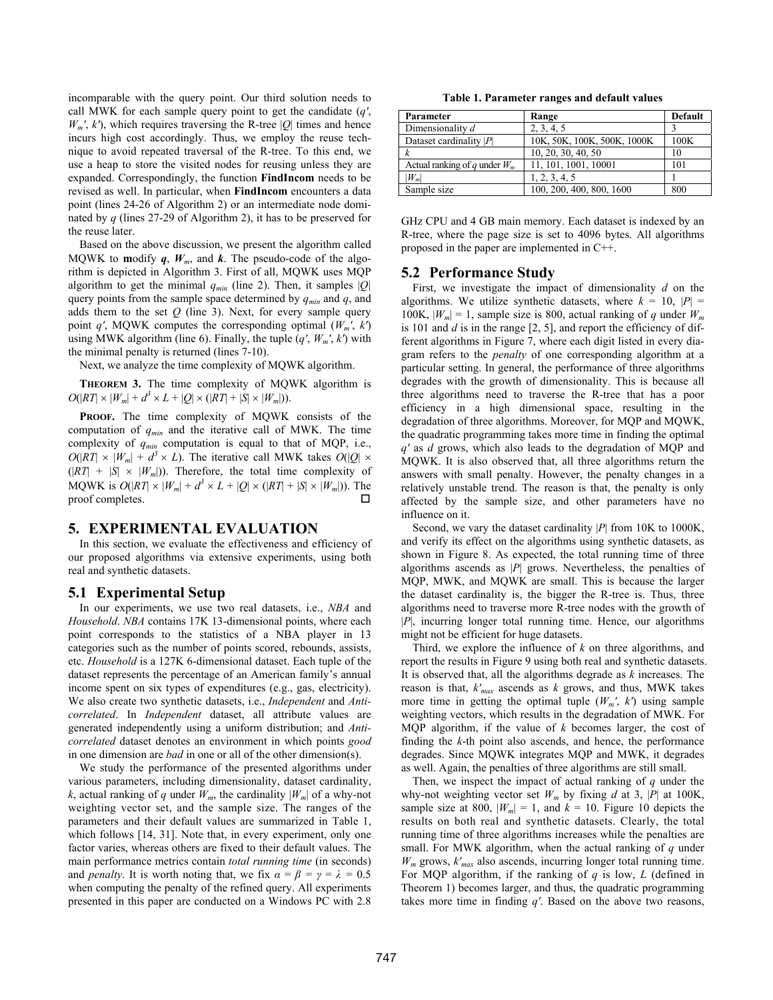incomparable with the query point. Our third solution needs to call MWK for each sample query point to get the candidate (*q′*,  $W_m$ <sup>*'*</sup>,  $k$ <sup>*'*</sup>), which requires traversing the R-tree |*Q*| times and hence incurs high cost accordingly. Thus, we employ the reuse technique to avoid repeated traversal of the R-tree. To this end, we use a heap to store the visited nodes for reusing unless they are expanded. Correspondingly, the function **FindIncom** needs to be revised as well. In particular, when **FindIncom** encounters a data point (lines 24-26 of Algorithm 2) or an intermediate node dominated by *q* (lines 27-29 of Algorithm 2), it has to be preserved for the reuse later.

Based on the above discussion, we present the algorithm called MQWK to **modify q,**  $W_m$ , and **k**. The pseudo-code of the algorithm is depicted in Algorithm 3. First of all, MQWK uses MQP algorithm to get the minimal  $q_{min}$  (line 2). Then, it samples  $|Q|$ query points from the sample space determined by *qmin* and *q*, and adds them to the set  $Q$  (line 3). Next, for every sample query point *q'*, MQWK computes the corresponding optimal  $(W_m', k')$ using MWK algorithm (line 6). Finally, the tuple  $(q', W_m', k')$  with the minimal penalty is returned (lines 7-10).

Next, we analyze the time complexity of MQWK algorithm.

**THEOREM 3.** The time complexity of MQWK algorithm is  $O(|RT| \times |W_m| + d^3 \times L + |O| \times (|RT| + |S| \times |W_m|)).$ 

PROOF. The time complexity of MQWK consists of the computation of *qmin* and the iterative call of MWK. The time complexity of *qmin* computation is equal to that of MQP, i.e.,  $O(|RT| \times |W_m| + d^3 \times L)$ . The iterative call MWK takes  $O(|Q| \times$  $(|RT| + |S| \times |W_m|)$ . Therefore, the total time complexity of MQWK is  $O(|RT| \times |W_m| + d^3 \times L + |Q| \times (|RT| + |S| \times |W_m|))$ . The proof completes.

#### **5. EXPERIMENTAL EVALUATION**

In this section, we evaluate the effectiveness and efficiency of our proposed algorithms via extensive experiments, using both real and synthetic datasets.

## **5.1 Experimental Setup**

In our experiments, we use two real datasets, i.e., *NBA* and *Household*. *NBA* contains 17K 13-dimensional points, where each point corresponds to the statistics of a NBA player in 13 categories such as the number of points scored, rebounds, assists, etc. *Household* is a 127K 6-dimensional dataset. Each tuple of the dataset represents the percentage of an American family's annual income spent on six types of expenditures (e.g., gas, electricity). We also create two synthetic datasets, i.e., *Independent* and *Anticorrelated*. In *Independent* dataset, all attribute values are generated independently using a uniform distribution; and *Anticorrelated* dataset denotes an environment in which points *good* in one dimension are *bad* in one or all of the other dimension(s).

We study the performance of the presented algorithms under various parameters, including dimensionality, dataset cardinality, *k*, actual ranking of *q* under  $W_m$ , the cardinality  $|W_m|$  of a why-not weighting vector set, and the sample size. The ranges of the parameters and their default values are summarized in Table 1, which follows [14, 31]. Note that, in every experiment, only one factor varies, whereas others are fixed to their default values. The main performance metrics contain *total running time* (in seconds) and *penalty*. It is worth noting that, we fix  $\alpha = \beta = \gamma = \lambda = 0.5$ when computing the penalty of the refined query. All experiments presented in this paper are conducted on a Windows PC with 2.8

**Table 1. Parameter ranges and default values** 

| Parameter                       | Range                       | Default |
|---------------------------------|-----------------------------|---------|
| Dimensionality d                | 2, 3, 4, 5                  |         |
| Dataset cardinality $ P $       | 10K, 50K, 100K, 500K, 1000K | 100K    |
|                                 | 10, 20, 30, 40, 50          | 10      |
| Actual ranking of q under $W_m$ | 11, 101, 1001, 10001        | 101     |
| $W_m$                           | 1, 2, 3, 4, 5               |         |
| Sample size                     | 100, 200, 400, 800, 1600    | 800     |

GHz CPU and 4 GB main memory. Each dataset is indexed by an R-tree, where the page size is set to 4096 bytes. All algorithms proposed in the paper are implemented in C++.

## **5.2 Performance Study**

First, we investigate the impact of dimensionality *d* on the algorithms. We utilize synthetic datasets, where  $k = 10$ ,  $|P| =$ 100K,  $|W_m| = 1$ , sample size is 800, actual ranking of *q* under  $W_m$ is 101 and *d* is in the range [2, 5], and report the efficiency of different algorithms in Figure 7, where each digit listed in every diagram refers to the *penalty* of one corresponding algorithm at a particular setting. In general, the performance of three algorithms degrades with the growth of dimensionality. This is because all three algorithms need to traverse the R-tree that has a poor efficiency in a high dimensional space, resulting in the degradation of three algorithms. Moreover, for MQP and MQWK, the quadratic programming takes more time in finding the optimal *q'* as *d* grows, which also leads to the degradation of MQP and MQWK. It is also observed that, all three algorithms return the answers with small penalty. However, the penalty changes in a relatively unstable trend. The reason is that, the penalty is only affected by the sample size, and other parameters have no influence on it.

Second, we vary the dataset cardinality |*P*| from 10K to 1000K, and verify its effect on the algorithms using synthetic datasets, as shown in Figure 8. As expected, the total running time of three algorithms ascends as |*P*| grows. Nevertheless, the penalties of MQP, MWK, and MQWK are small. This is because the larger the dataset cardinality is, the bigger the R-tree is. Thus, three algorithms need to traverse more R-tree nodes with the growth of |*P*|, incurring longer total running time. Hence, our algorithms might not be efficient for huge datasets.

Third, we explore the influence of *k* on three algorithms, and report the results in Figure 9 using both real and synthetic datasets. It is observed that, all the algorithms degrade as *k* increases. The reason is that, *k'max* ascends as *k* grows, and thus, MWK takes more time in getting the optimal tuple  $(W_m', k')$  using sample weighting vectors, which results in the degradation of MWK. For MQP algorithm, if the value of *k* becomes larger, the cost of finding the *k*-th point also ascends, and hence, the performance degrades. Since MQWK integrates MQP and MWK, it degrades as well. Again, the penalties of three algorithms are still small.

Then, we inspect the impact of actual ranking of *q* under the why-not weighting vector set  $W_m$  by fixing *d* at 3, |P| at 100K, sample size at 800,  $|W_m| = 1$ , and  $k = 10$ . Figure 10 depicts the results on both real and synthetic datasets. Clearly, the total running time of three algorithms increases while the penalties are small. For MWK algorithm, when the actual ranking of *q* under *Wm* grows, *k'max* also ascends, incurring longer total running time. For MQP algorithm, if the ranking of *q* is low, *L* (defined in Theorem 1) becomes larger, and thus, the quadratic programming takes more time in finding *q'*. Based on the above two reasons,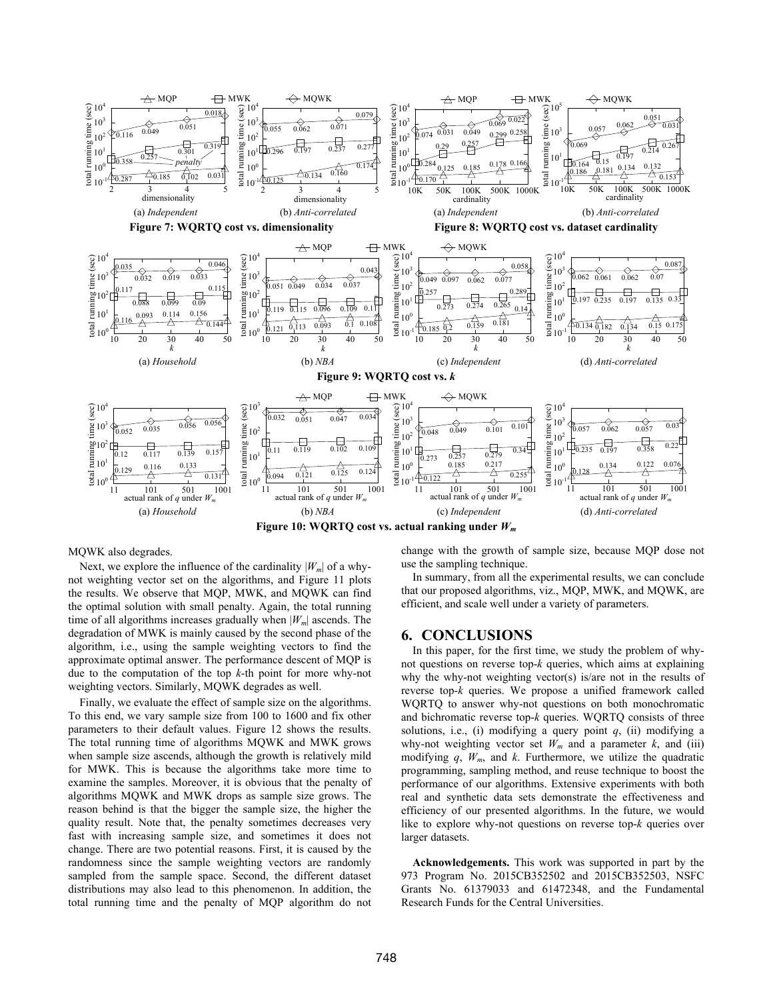

#### MQWK also degrades.

Next, we explore the influence of the cardinality  $|W_m|$  of a whynot weighting vector set on the algorithms, and Figure 11 plots the results. We observe that MQP, MWK, and MQWK can find the optimal solution with small penalty. Again, the total running time of all algorithms increases gradually when  $|W_m|$  ascends. The degradation of MWK is mainly caused by the second phase of the algorithm, i.e., using the sample weighting vectors to find the approximate optimal answer. The performance descent of MQP is due to the computation of the top *k*-th point for more why-not weighting vectors. Similarly, MQWK degrades as well.

Finally, we evaluate the effect of sample size on the algorithms. To this end, we vary sample size from 100 to 1600 and fix other parameters to their default values. Figure 12 shows the results. The total running time of algorithms MQWK and MWK grows when sample size ascends, although the growth is relatively mild for MWK. This is because the algorithms take more time to examine the samples. Moreover, it is obvious that the penalty of algorithms MQWK and MWK drops as sample size grows. The reason behind is that the bigger the sample size, the higher the quality result. Note that, the penalty sometimes decreases very fast with increasing sample size, and sometimes it does not change. There are two potential reasons. First, it is caused by the randomness since the sample weighting vectors are randomly sampled from the sample space. Second, the different dataset distributions may also lead to this phenomenon. In addition, the total running time and the penalty of MQP algorithm do not

change with the growth of sample size, because MQP dose not use the sampling technique.

In summary, from all the experimental results, we can conclude that our proposed algorithms, viz., MQP, MWK, and MQWK, are efficient, and scale well under a variety of parameters.

### **6. CONCLUSIONS**

In this paper, for the first time, we study the problem of whynot questions on reverse top-*k* queries, which aims at explaining why the why-not weighting vector(s) is/are not in the results of reverse top-*k* queries. We propose a unified framework called WQRTQ to answer why-not questions on both monochromatic and bichromatic reverse top-*k* queries. WQRTQ consists of three solutions, i.e., (i) modifying a query point  $q$ , (ii) modifying a why-not weighting vector set  $W_m$  and a parameter  $k$ , and (iii) modifying  $q$ ,  $W_m$ , and  $k$ . Furthermore, we utilize the quadratic programming, sampling method, and reuse technique to boost the performance of our algorithms. Extensive experiments with both real and synthetic data sets demonstrate the effectiveness and efficiency of our presented algorithms. In the future, we would like to explore why-not questions on reverse top-*k* queries over larger datasets.

**Acknowledgements.** This work was supported in part by the 973 Program No. 2015CB352502 and 2015CB352503, NSFC Grants No. 61379033 and 61472348, and the Fundamental Research Funds for the Central Universities.